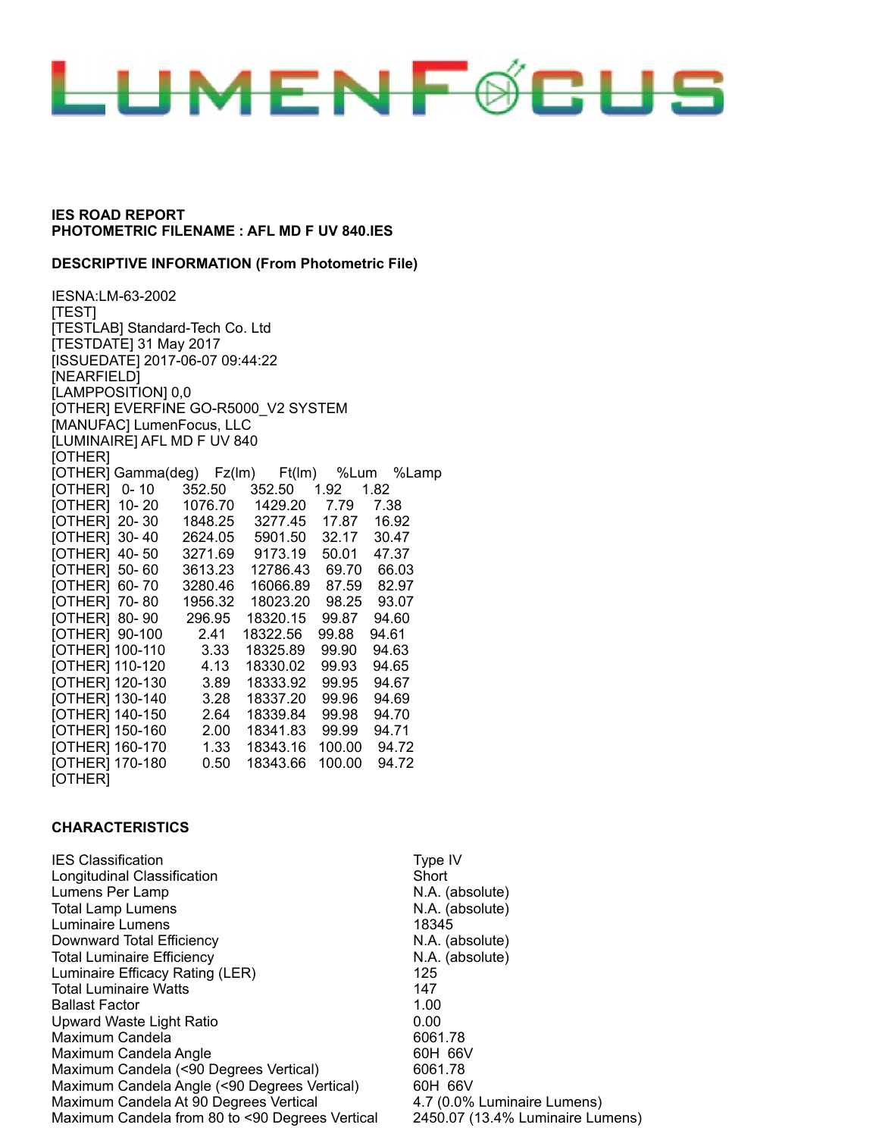

#### **DESCRIPTIVE INFORMATION (From Photometric File)**

IESNA:LM-63-2002 [TEST] [TESTLAB] Standard-Tech Co. Ltd [TESTDATE] 31 May 2017 [ISSUEDATE] 2017-06-07 09:44:22 [NEARFIELD] [LAMPPOSITION] 0,0 [OTHER] EVERFINE GO-R5000\_V2 SYSTEM [MANUFAC] LumenFocus, LLC [LUMINAIRE] AFL MD F UV 840 [OTHER] [OTHER] Gamma(deg) Fz(lm) Ft(lm) %Lum %Lamp [OTHER] 0- 10 352.50 352.50 1.92 1.82 [OTHER] 10- 20 1076.70 1429.20 7.79 7.38 [OTHER] 20- 30 1848.25 3277.45 17.87 16.92 [OTHER] 30- 40 2624.05 5901.50 32.17 30.47 [OTHER] 40- 50 3271.69 9173.19 50.01 47.37 [OTHER] 50- 60 3613.23 12786.43 69.70 66.03 [OTHER] 60- 70 3280.46 16066.89 87.59 82.97 [OTHER] 70- 80 1956.32 18023.20 98.25 93.07 [OTHER] 80- 90 296.95 18320.15 99.87 94.60 [OTHER] 90-100 2.41 18322.56 99.88 94.61 [OTHER] 100-110 3.33 18325.89 99.90 94.63 [OTHER] 110-120 4.13 18330.02 99.93 94.65 [OTHER] 120-130 3.89 18333.92 99.95 94.67 [OTHER] 130-140 3.28 18337.20 99.96 94.69 [OTHER] 140-150 2.64 18339.84 99.98 94.70 [OTHER] 150-160 2.00 18341.83 99.99 94.71 [OTHER] 160-170 1.33 18343.16 100.00 94.72 [OTHER] 170-180 0.50 18343.66 100.00 94.72 [OTHER]

#### **CHARACTERISTICS**

IES Classification **Type IV IES** Longitudinal Classification Network Short Lumens Per Lamp N.A. (absolute) Total Lamp Lumens N.A. (absolute) Luminaire Lumens 18345 Downward Total Efficiency N.A. (absolute) Total Luminaire Efficiency **N.A.** (absolute) Luminaire Efficacy Rating (LER) 125 Total Luminaire Watts 147 Ballast Factor 1.00 Upward Waste Light Ratio **120 Upward Waste Light Ratio** 2000 Maximum Candela 6061.78 Maximum Candela Angle 60H 66V Maximum Candela (<90 Degrees Vertical) 6061.78 Maximum Candela Angle (<90 Degrees Vertical) 60H 66V Maximum Candela At 90 Degrees Vertical 4.7 (0.0% Luminaire Lumens) Maximum Candela from 80 to <90 Degrees Vertical 2450.07 (13.4% Luminaire Lumens)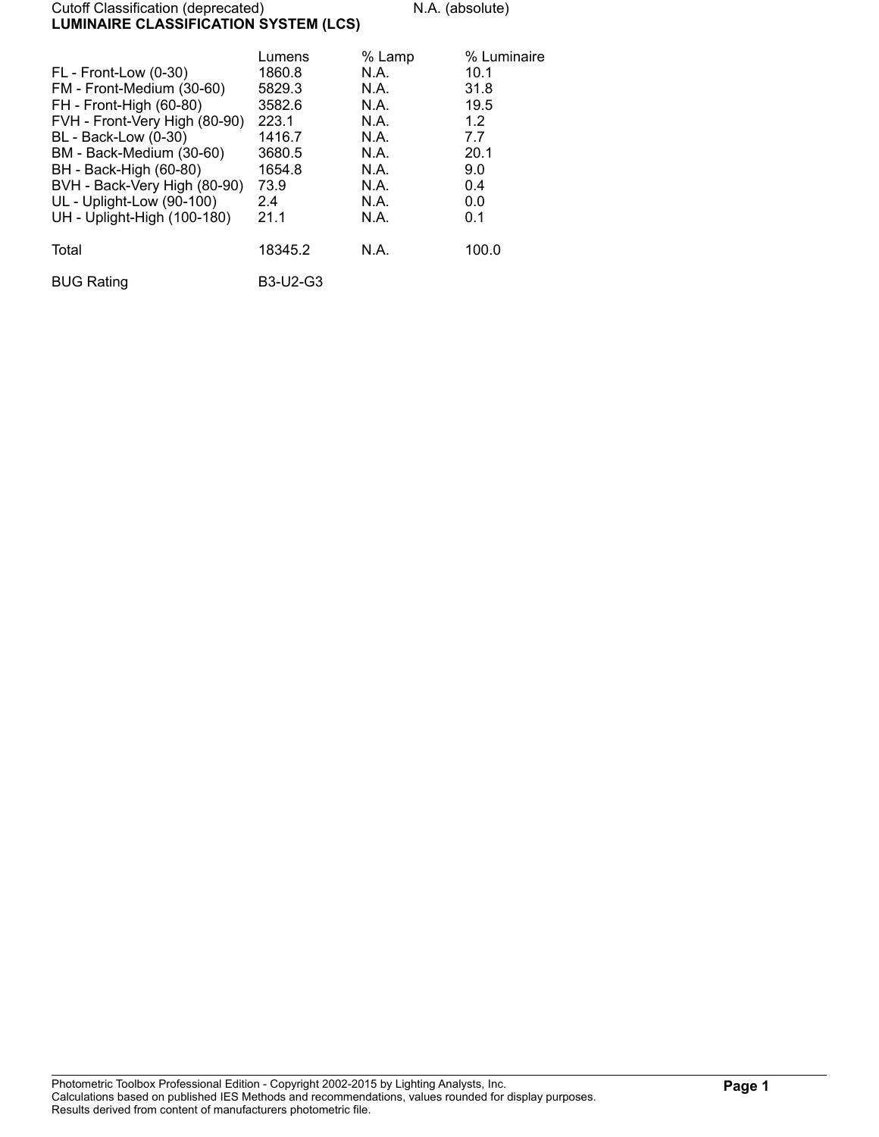#### Cutoff Classification (deprecated) N.A. (absolute) **LUMINAIRE CLASSIFICATION SYSTEM (LCS)**

| FL - Front-Low (0-30)<br>FM - Front-Medium (30-60)<br>FH - Front-High (60-80)<br>FVH - Front-Very High (80-90)<br>BL - Back-Low (0-30)<br>BM - Back-Medium (30-60)<br>BH - Back-High (60-80)<br>BVH - Back-Very High (80-90)<br>UL - Uplight-Low (90-100)<br>UH - Uplight-High (100-180) | Lumens<br>1860.8<br>5829.3<br>3582.6<br>223.1<br>1416.7<br>3680.5<br>1654.8<br>73.9<br>2.4<br>21.1 | % Lamp<br>N.A.<br>N.A.<br>N.A.<br>N.A.<br>N.A.<br>N.A.<br>N.A.<br>N.A.<br>N.A.<br>N.A. | % Luminaire<br>10.1<br>31.8<br>19.5<br>1.2<br>7.7<br>20.1<br>9.0<br>0.4<br>0.0<br>0.1 |
|------------------------------------------------------------------------------------------------------------------------------------------------------------------------------------------------------------------------------------------------------------------------------------------|----------------------------------------------------------------------------------------------------|----------------------------------------------------------------------------------------|---------------------------------------------------------------------------------------|
| Total                                                                                                                                                                                                                                                                                    | 18345.2                                                                                            | N.A.                                                                                   | 100.0                                                                                 |
| <b>BUG Rating</b>                                                                                                                                                                                                                                                                        | <b>B3-U2-G3</b>                                                                                    |                                                                                        |                                                                                       |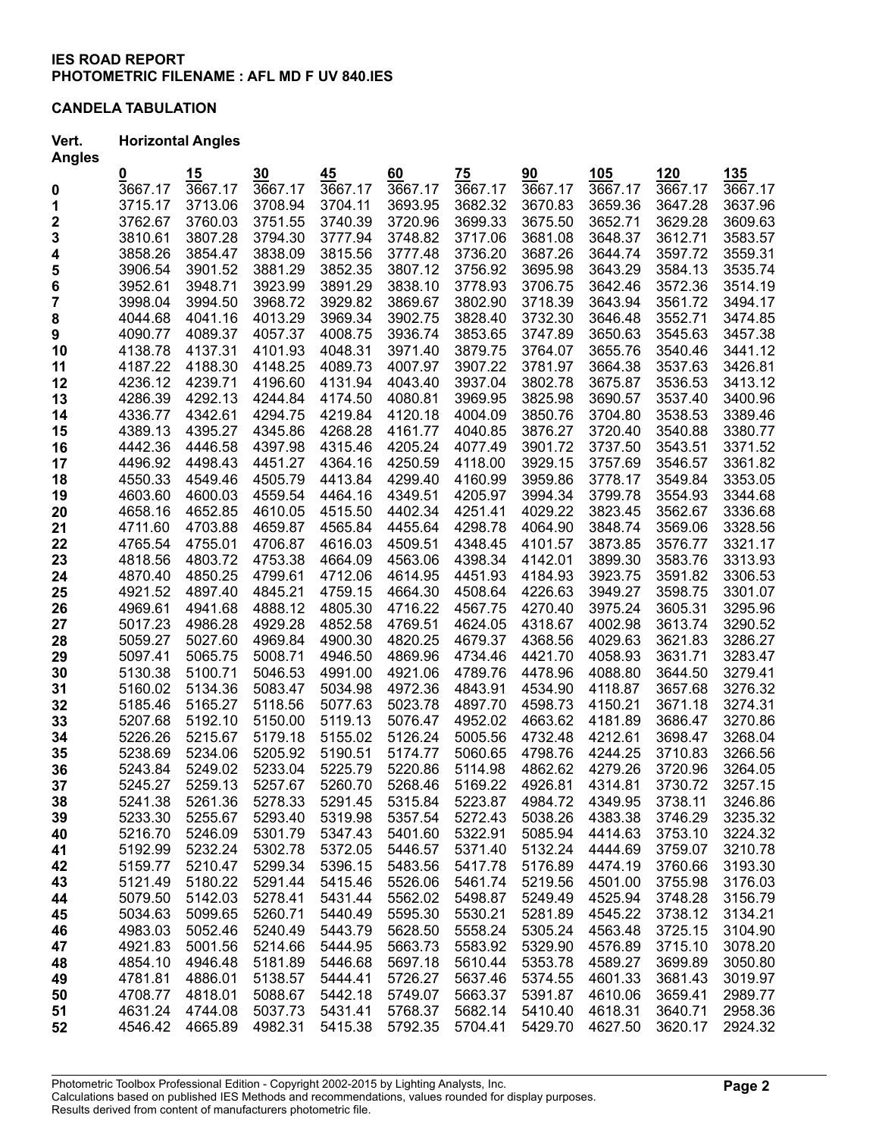## **CANDELA TABULATION**

### **Vert. Horizontal Angles**

| <b>Angles</b> |         |         |         |         |         |         |         |         |         |         |
|---------------|---------|---------|---------|---------|---------|---------|---------|---------|---------|---------|
|               | 0       | 15      | 30      | 45      | 60      | 75      | 90      | 105     | 120     | 135     |
| 0             | 3667.17 | 3667.17 | 3667.17 | 3667.17 | 3667.17 | 3667.17 | 3667.17 | 3667.17 | 3667.17 | 3667.17 |
| 1             | 3715.17 | 3713.06 | 3708.94 | 3704.11 | 3693.95 | 3682.32 | 3670.83 | 3659.36 | 3647.28 | 3637.96 |
| 2             | 3762.67 | 3760.03 | 3751.55 | 3740.39 | 3720.96 | 3699.33 | 3675.50 | 3652.71 | 3629.28 | 3609.63 |
| 3             | 3810.61 | 3807.28 | 3794.30 | 3777.94 | 3748.82 | 3717.06 | 3681.08 | 3648.37 | 3612.71 | 3583.57 |
| 4             | 3858.26 | 3854.47 | 3838.09 | 3815.56 | 3777.48 | 3736.20 | 3687.26 | 3644.74 | 3597.72 | 3559.31 |
| 5             | 3906.54 | 3901.52 | 3881.29 | 3852.35 | 3807.12 | 3756.92 | 3695.98 | 3643.29 | 3584.13 | 3535.74 |
| 6             | 3952.61 | 3948.71 | 3923.99 | 3891.29 | 3838.10 | 3778.93 | 3706.75 | 3642.46 | 3572.36 | 3514.19 |
| 7             | 3998.04 | 3994.50 | 3968.72 | 3929.82 | 3869.67 | 3802.90 | 3718.39 | 3643.94 | 3561.72 | 3494.17 |
| 8             | 4044.68 | 4041.16 | 4013.29 | 3969.34 | 3902.75 | 3828.40 | 3732.30 | 3646.48 | 3552.71 | 3474.85 |
| 9             | 4090.77 | 4089.37 | 4057.37 | 4008.75 | 3936.74 | 3853.65 | 3747.89 | 3650.63 | 3545.63 | 3457.38 |
| 10            | 4138.78 | 4137.31 | 4101.93 | 4048.31 | 3971.40 | 3879.75 | 3764.07 | 3655.76 | 3540.46 | 3441.12 |
| 11            | 4187.22 | 4188.30 | 4148.25 | 4089.73 | 4007.97 | 3907.22 | 3781.97 | 3664.38 | 3537.63 | 3426.81 |
| 12            | 4236.12 | 4239.71 | 4196.60 | 4131.94 | 4043.40 | 3937.04 | 3802.78 | 3675.87 | 3536.53 | 3413.12 |
| 13            | 4286.39 | 4292.13 | 4244.84 | 4174.50 | 4080.81 | 3969.95 | 3825.98 | 3690.57 | 3537.40 | 3400.96 |
| 14            | 4336.77 | 4342.61 | 4294.75 | 4219.84 | 4120.18 | 4004.09 | 3850.76 | 3704.80 | 3538.53 | 3389.46 |
| 15            | 4389.13 | 4395.27 | 4345.86 | 4268.28 | 4161.77 | 4040.85 | 3876.27 | 3720.40 | 3540.88 | 3380.77 |
| 16            | 4442.36 | 4446.58 | 4397.98 | 4315.46 | 4205.24 | 4077.49 | 3901.72 | 3737.50 | 3543.51 | 3371.52 |
| 17            | 4496.92 | 4498.43 | 4451.27 | 4364.16 | 4250.59 | 4118.00 | 3929.15 | 3757.69 | 3546.57 | 3361.82 |
| 18            | 4550.33 | 4549.46 | 4505.79 | 4413.84 | 4299.40 | 4160.99 | 3959.86 | 3778.17 | 3549.84 | 3353.05 |
| 19            | 4603.60 | 4600.03 | 4559.54 | 4464.16 | 4349.51 | 4205.97 | 3994.34 | 3799.78 | 3554.93 | 3344.68 |
| 20            | 4658.16 | 4652.85 | 4610.05 | 4515.50 | 4402.34 | 4251.41 | 4029.22 | 3823.45 | 3562.67 | 3336.68 |
| 21            | 4711.60 | 4703.88 | 4659.87 | 4565.84 | 4455.64 | 4298.78 | 4064.90 | 3848.74 | 3569.06 | 3328.56 |
| 22            | 4765.54 | 4755.01 | 4706.87 | 4616.03 | 4509.51 | 4348.45 | 4101.57 | 3873.85 | 3576.77 | 3321.17 |
| 23            | 4818.56 | 4803.72 | 4753.38 | 4664.09 | 4563.06 | 4398.34 | 4142.01 | 3899.30 | 3583.76 | 3313.93 |
| 24            | 4870.40 | 4850.25 | 4799.61 | 4712.06 | 4614.95 | 4451.93 | 4184.93 | 3923.75 | 3591.82 | 3306.53 |
| 25            | 4921.52 | 4897.40 | 4845.21 | 4759.15 | 4664.30 | 4508.64 | 4226.63 | 3949.27 | 3598.75 | 3301.07 |
| 26            | 4969.61 | 4941.68 | 4888.12 | 4805.30 | 4716.22 | 4567.75 | 4270.40 | 3975.24 | 3605.31 | 3295.96 |
| 27            | 5017.23 | 4986.28 | 4929.28 | 4852.58 | 4769.51 | 4624.05 | 4318.67 | 4002.98 | 3613.74 | 3290.52 |
| 28            | 5059.27 | 5027.60 | 4969.84 | 4900.30 | 4820.25 | 4679.37 | 4368.56 | 4029.63 | 3621.83 | 3286.27 |
| 29            | 5097.41 | 5065.75 | 5008.71 | 4946.50 | 4869.96 | 4734.46 | 4421.70 | 4058.93 | 3631.71 | 3283.47 |
| 30            | 5130.38 | 5100.71 | 5046.53 | 4991.00 | 4921.06 | 4789.76 | 4478.96 | 4088.80 | 3644.50 | 3279.41 |
| 31            | 5160.02 | 5134.36 | 5083.47 | 5034.98 | 4972.36 | 4843.91 | 4534.90 | 4118.87 | 3657.68 | 3276.32 |
| 32            | 5185.46 | 5165.27 | 5118.56 | 5077.63 | 5023.78 | 4897.70 | 4598.73 | 4150.21 | 3671.18 | 3274.31 |
| 33            | 5207.68 | 5192.10 | 5150.00 | 5119.13 | 5076.47 | 4952.02 | 4663.62 | 4181.89 | 3686.47 | 3270.86 |
| 34            | 5226.26 | 5215.67 | 5179.18 | 5155.02 | 5126.24 | 5005.56 | 4732.48 | 4212.61 | 3698.47 | 3268.04 |
| 35            | 5238.69 | 5234.06 | 5205.92 | 5190.51 | 5174.77 | 5060.65 | 4798.76 | 4244.25 | 3710.83 | 3266.56 |
| 36            | 5243.84 | 5249.02 | 5233.04 | 5225.79 | 5220.86 | 5114.98 | 4862.62 | 4279.26 | 3720.96 | 3264.05 |
| 37            | 5245.27 | 5259.13 | 5257.67 | 5260.70 | 5268.46 | 5169.22 | 4926.81 | 4314.81 | 3730.72 | 3257.15 |
| 38            | 5241.38 | 5261.36 | 5278.33 | 5291.45 | 5315.84 | 5223.87 | 4984.72 | 4349.95 | 3738.11 | 3246.86 |
| 39            | 5233.30 | 5255.67 | 5293.40 | 5319.98 | 5357.54 | 5272.43 | 5038.26 | 4383.38 | 3746.29 | 3235.32 |
| 40            | 5216.70 | 5246.09 | 5301.79 | 5347.43 | 5401.60 | 5322.91 | 5085.94 | 4414.63 | 3753.10 | 3224.32 |
| 41            | 5192.99 | 5232.24 | 5302.78 | 5372.05 | 5446.57 | 5371.40 | 5132.24 | 4444.69 | 3759.07 | 3210.78 |
| 42            | 5159.77 | 5210.47 | 5299.34 | 5396.15 | 5483.56 | 5417.78 | 5176.89 | 4474.19 | 3760.66 | 3193.30 |
| 43            | 5121.49 | 5180.22 | 5291.44 | 5415.46 | 5526.06 | 5461.74 | 5219.56 | 4501.00 | 3755.98 | 3176.03 |
| 44            | 5079.50 | 5142.03 | 5278.41 | 5431.44 | 5562.02 | 5498.87 | 5249.49 | 4525.94 | 3748.28 | 3156.79 |
| 45            | 5034.63 | 5099.65 | 5260.71 | 5440.49 | 5595.30 | 5530.21 | 5281.89 | 4545.22 | 3738.12 | 3134.21 |
| 46            | 4983.03 | 5052.46 | 5240.49 | 5443.79 | 5628.50 | 5558.24 | 5305.24 | 4563.48 | 3725.15 | 3104.90 |
| 47            | 4921.83 | 5001.56 | 5214.66 | 5444.95 | 5663.73 | 5583.92 | 5329.90 | 4576.89 | 3715.10 | 3078.20 |
| 48            | 4854.10 | 4946.48 | 5181.89 | 5446.68 | 5697.18 | 5610.44 | 5353.78 | 4589.27 | 3699.89 | 3050.80 |
| 49            | 4781.81 | 4886.01 | 5138.57 | 5444.41 | 5726.27 | 5637.46 | 5374.55 | 4601.33 | 3681.43 | 3019.97 |
| 50            | 4708.77 | 4818.01 | 5088.67 | 5442.18 | 5749.07 | 5663.37 | 5391.87 | 4610.06 | 3659.41 | 2989.77 |
| 51            | 4631.24 | 4744.08 | 5037.73 | 5431.41 | 5768.37 | 5682.14 | 5410.40 | 4618.31 | 3640.71 | 2958.36 |
| 52            | 4546.42 | 4665.89 | 4982.31 | 5415.38 | 5792.35 | 5704.41 | 5429.70 | 4627.50 | 3620.17 | 2924.32 |
|               |         |         |         |         |         |         |         |         |         |         |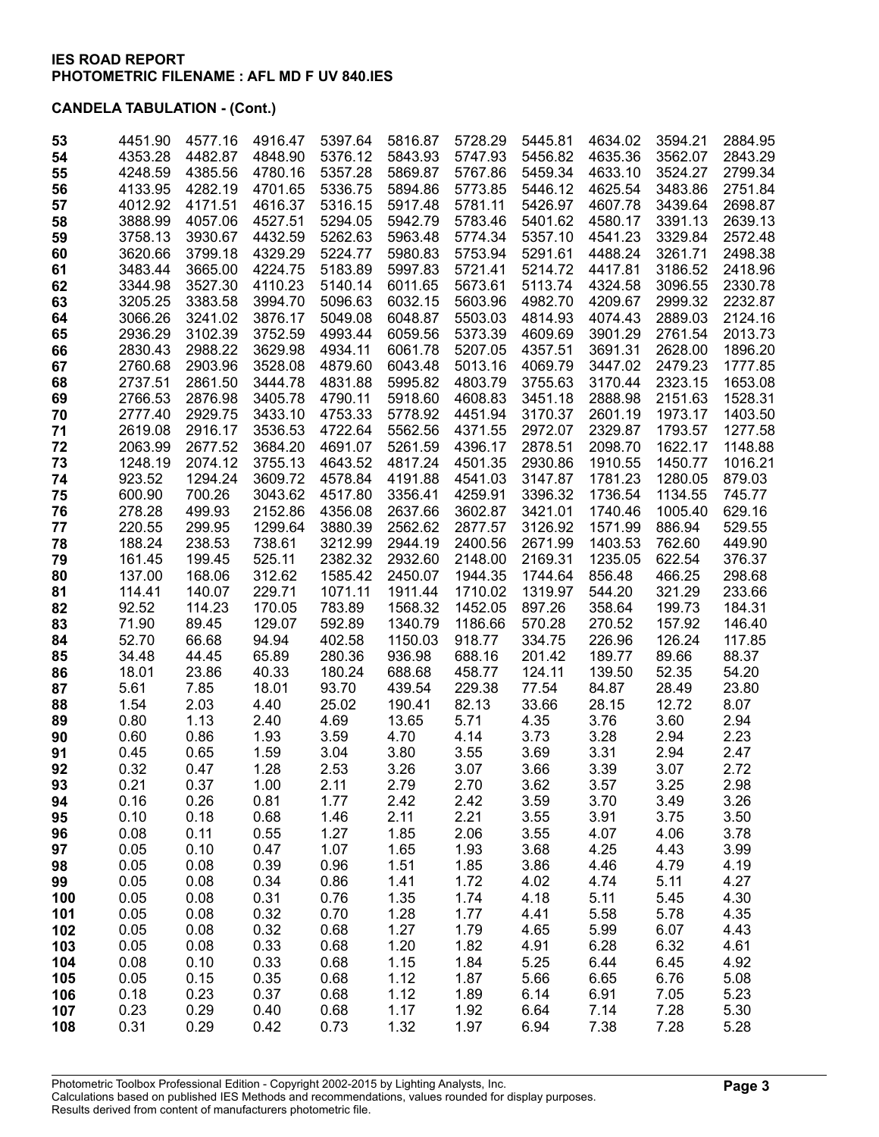| 53  | 4451.90 | 4577.16 | 4916.47 | 5397.64 | 5816.87 | 5728.29 | 5445.81 | 4634.02 | 3594.21 | 2884.95 |
|-----|---------|---------|---------|---------|---------|---------|---------|---------|---------|---------|
| 54  | 4353.28 | 4482.87 | 4848.90 | 5376.12 | 5843.93 | 5747.93 | 5456.82 | 4635.36 | 3562.07 | 2843.29 |
| 55  | 4248.59 | 4385.56 | 4780.16 | 5357.28 | 5869.87 | 5767.86 | 5459.34 | 4633.10 | 3524.27 | 2799.34 |
| 56  | 4133.95 | 4282.19 | 4701.65 | 5336.75 | 5894.86 | 5773.85 | 5446.12 | 4625.54 | 3483.86 | 2751.84 |
| 57  | 4012.92 | 4171.51 | 4616.37 | 5316.15 | 5917.48 | 5781.11 | 5426.97 | 4607.78 | 3439.64 | 2698.87 |
| 58  | 3888.99 | 4057.06 | 4527.51 | 5294.05 | 5942.79 | 5783.46 | 5401.62 | 4580.17 | 3391.13 | 2639.13 |
| 59  | 3758.13 | 3930.67 | 4432.59 | 5262.63 | 5963.48 | 5774.34 | 5357.10 | 4541.23 | 3329.84 | 2572.48 |
| 60  | 3620.66 | 3799.18 | 4329.29 | 5224.77 | 5980.83 | 5753.94 | 5291.61 | 4488.24 | 3261.71 | 2498.38 |
| 61  | 3483.44 | 3665.00 | 4224.75 | 5183.89 | 5997.83 | 5721.41 | 5214.72 | 4417.81 | 3186.52 | 2418.96 |
| 62  | 3344.98 | 3527.30 | 4110.23 | 5140.14 | 6011.65 | 5673.61 | 5113.74 | 4324.58 | 3096.55 | 2330.78 |
| 63  | 3205.25 | 3383.58 | 3994.70 | 5096.63 | 6032.15 | 5603.96 | 4982.70 | 4209.67 | 2999.32 | 2232.87 |
| 64  | 3066.26 | 3241.02 | 3876.17 | 5049.08 | 6048.87 | 5503.03 | 4814.93 | 4074.43 | 2889.03 | 2124.16 |
| 65  | 2936.29 | 3102.39 | 3752.59 | 4993.44 | 6059.56 | 5373.39 | 4609.69 | 3901.29 | 2761.54 | 2013.73 |
| 66  | 2830.43 | 2988.22 | 3629.98 | 4934.11 | 6061.78 | 5207.05 | 4357.51 | 3691.31 | 2628.00 | 1896.20 |
| 67  | 2760.68 | 2903.96 | 3528.08 | 4879.60 | 6043.48 | 5013.16 | 4069.79 | 3447.02 | 2479.23 | 1777.85 |
| 68  | 2737.51 | 2861.50 | 3444.78 | 4831.88 | 5995.82 | 4803.79 | 3755.63 | 3170.44 | 2323.15 | 1653.08 |
| 69  | 2766.53 | 2876.98 | 3405.78 | 4790.11 | 5918.60 | 4608.83 | 3451.18 | 2888.98 | 2151.63 | 1528.31 |
| 70  | 2777.40 | 2929.75 | 3433.10 | 4753.33 | 5778.92 | 4451.94 | 3170.37 | 2601.19 | 1973.17 | 1403.50 |
| 71  | 2619.08 | 2916.17 | 3536.53 | 4722.64 | 5562.56 | 4371.55 | 2972.07 | 2329.87 | 1793.57 | 1277.58 |
| 72  | 2063.99 | 2677.52 | 3684.20 | 4691.07 | 5261.59 | 4396.17 | 2878.51 | 2098.70 | 1622.17 | 1148.88 |
| 73  | 1248.19 | 2074.12 | 3755.13 | 4643.52 | 4817.24 | 4501.35 | 2930.86 | 1910.55 | 1450.77 | 1016.21 |
| 74  | 923.52  | 1294.24 | 3609.72 | 4578.84 | 4191.88 | 4541.03 | 3147.87 | 1781.23 | 1280.05 | 879.03  |
| 75  | 600.90  | 700.26  | 3043.62 | 4517.80 | 3356.41 | 4259.91 | 3396.32 | 1736.54 | 1134.55 | 745.77  |
| 76  | 278.28  | 499.93  | 2152.86 | 4356.08 | 2637.66 | 3602.87 | 3421.01 | 1740.46 | 1005.40 | 629.16  |
| 77  | 220.55  | 299.95  | 1299.64 | 3880.39 | 2562.62 | 2877.57 | 3126.92 | 1571.99 | 886.94  | 529.55  |
| 78  | 188.24  | 238.53  | 738.61  | 3212.99 | 2944.19 | 2400.56 | 2671.99 | 1403.53 | 762.60  | 449.90  |
| 79  | 161.45  | 199.45  | 525.11  | 2382.32 | 2932.60 | 2148.00 | 2169.31 | 1235.05 | 622.54  | 376.37  |
| 80  | 137.00  | 168.06  | 312.62  | 1585.42 | 2450.07 | 1944.35 | 1744.64 | 856.48  | 466.25  | 298.68  |
| 81  | 114.41  | 140.07  | 229.71  | 1071.11 | 1911.44 | 1710.02 | 1319.97 | 544.20  | 321.29  | 233.66  |
| 82  | 92.52   | 114.23  | 170.05  | 783.89  | 1568.32 | 1452.05 | 897.26  | 358.64  | 199.73  | 184.31  |
| 83  | 71.90   | 89.45   | 129.07  | 592.89  | 1340.79 | 1186.66 | 570.28  | 270.52  | 157.92  | 146.40  |
| 84  | 52.70   | 66.68   | 94.94   | 402.58  | 1150.03 | 918.77  | 334.75  | 226.96  | 126.24  | 117.85  |
| 85  | 34.48   | 44.45   | 65.89   | 280.36  | 936.98  | 688.16  | 201.42  | 189.77  | 89.66   | 88.37   |
| 86  | 18.01   | 23.86   | 40.33   | 180.24  | 688.68  | 458.77  | 124.11  | 139.50  | 52.35   | 54.20   |
| 87  | 5.61    | 7.85    | 18.01   | 93.70   | 439.54  | 229.38  | 77.54   | 84.87   | 28.49   | 23.80   |
| 88  | 1.54    | 2.03    | 4.40    | 25.02   | 190.41  | 82.13   | 33.66   | 28.15   | 12.72   | 8.07    |
| 89  | 0.80    | 1.13    | 2.40    | 4.69    | 13.65   | 5.71    | 4.35    | 3.76    | 3.60    | 2.94    |
| 90  | 0.60    | 0.86    | 1.93    | 3.59    | 4.70    | 4.14    | 3.73    | 3.28    | 2.94    | 2.23    |
| 91  | 0.45    | 0.65    | 1.59    | 3.04    | 3.80    | 3.55    | 3.69    | 3.31    | 2.94    | 2.47    |
| 92  | 0.32    | 0.47    | 1.28    | 2.53    | 3.26    | 3.07    | 3.66    | 3.39    | 3.07    | 2.72    |
| 93  | 0.21    | 0.37    | 1.00    | 2.11    | 2.79    | 2.70    | 3.62    | 3.57    | 3.25    | 2.98    |
| 94  | 0.16    | 0.26    | 0.81    | 1.77    | 2.42    | 2.42    | 3.59    | 3.70    | 3.49    | 3.26    |
| 95  | 0.10    | 0.18    | 0.68    | 1.46    | 2.11    | 2.21    | 3.55    | 3.91    | 3.75    | 3.50    |
| 96  | 0.08    | 0.11    | 0.55    | 1.27    | 1.85    | 2.06    | 3.55    | 4.07    | 4.06    | 3.78    |
| 97  | 0.05    | 0.10    | 0.47    | 1.07    | 1.65    | 1.93    | 3.68    | 4.25    | 4.43    | 3.99    |
| 98  | 0.05    | 0.08    | 0.39    | 0.96    | 1.51    | 1.85    | 3.86    | 4.46    | 4.79    | 4.19    |
| 99  | 0.05    | 0.08    | 0.34    | 0.86    | 1.41    | 1.72    | 4.02    | 4.74    | 5.11    | 4.27    |
| 100 | 0.05    | 0.08    | 0.31    | 0.76    | 1.35    | 1.74    | 4.18    | 5.11    | 5.45    | 4.30    |
| 101 | 0.05    | 0.08    | 0.32    | 0.70    | 1.28    | 1.77    | 4.41    | 5.58    | 5.78    | 4.35    |
| 102 | 0.05    | 0.08    | 0.32    | 0.68    | 1.27    | 1.79    | 4.65    | 5.99    | 6.07    | 4.43    |
| 103 | 0.05    | 0.08    | 0.33    | 0.68    | 1.20    | 1.82    | 4.91    | 6.28    | 6.32    | 4.61    |
| 104 | 0.08    | 0.10    | 0.33    | 0.68    | 1.15    | 1.84    | 5.25    | 6.44    | 6.45    | 4.92    |
| 105 | 0.05    | 0.15    | 0.35    | 0.68    | 1.12    | 1.87    | 5.66    | 6.65    | 6.76    | 5.08    |
| 106 | 0.18    | 0.23    | 0.37    | 0.68    | 1.12    | 1.89    | 6.14    | 6.91    | 7.05    | 5.23    |
| 107 | 0.23    | 0.29    | 0.40    | 0.68    | 1.17    | 1.92    | 6.64    | 7.14    | 7.28    | 5.30    |
| 108 | 0.31    | 0.29    | 0.42    | 0.73    | 1.32    | 1.97    | 6.94    | 7.38    | 7.28    | 5.28    |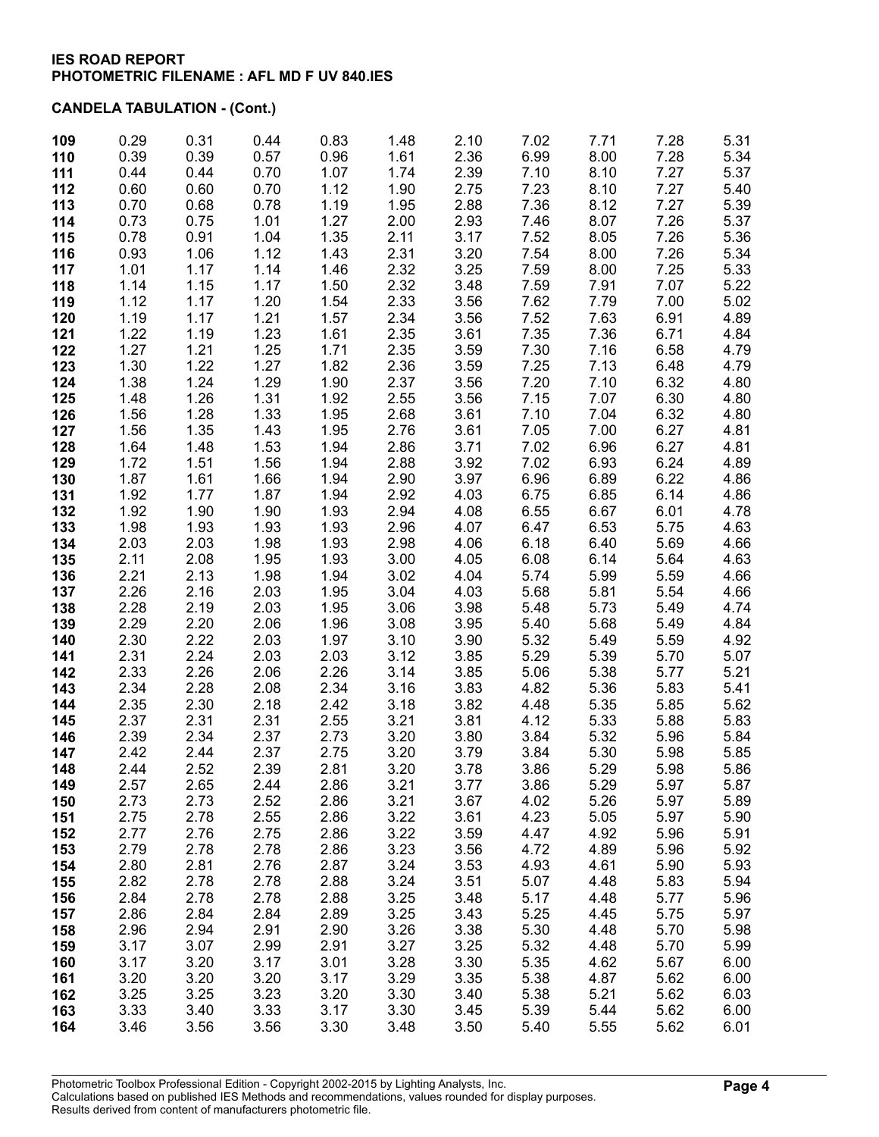| 109        | 0.29         | 0.31         | 0.44         | 0.83         | 1.48         | 2.10         | 7.02         | 7.71         | 7.28         | 5.31         |
|------------|--------------|--------------|--------------|--------------|--------------|--------------|--------------|--------------|--------------|--------------|
| 110        | 0.39         | 0.39         | 0.57         | 0.96         | 1.61         | 2.36         | 6.99         | 8.00         | 7.28         | 5.34         |
| 111        | 0.44         | 0.44         | 0.70         | 1.07         | 1.74         | 2.39         | 7.10         | 8.10         | 7.27         | 5.37         |
| 112        | 0.60         | 0.60         | 0.70         | 1.12         | 1.90         | 2.75         | 7.23         | 8.10         | 7.27         | 5.40         |
| 113        | 0.70         | 0.68         | 0.78         | 1.19         | 1.95         | 2.88         | 7.36         | 8.12         | 7.27         | 5.39         |
| 114        | 0.73         | 0.75         | 1.01         | 1.27         | 2.00         | 2.93         | 7.46         | 8.07         | 7.26         | 5.37         |
| 115        | 0.78         | 0.91         | 1.04         | 1.35         | 2.11         | 3.17         | 7.52         | 8.05         | 7.26         | 5.36         |
| 116        | 0.93         | 1.06<br>1.17 | 1.12         | 1.43<br>1.46 | 2.31<br>2.32 | 3.20<br>3.25 | 7.54         | 8.00         | 7.26         | 5.34         |
| 117        | 1.01         |              | 1.14<br>1.17 | 1.50         | 2.32         | 3.48         | 7.59         | 8.00<br>7.91 | 7.25<br>7.07 | 5.33         |
| 118        | 1.14<br>1.12 | 1.15<br>1.17 | 1.20         | 1.54         | 2.33         | 3.56         | 7.59<br>7.62 | 7.79         | 7.00         | 5.22<br>5.02 |
| 119<br>120 | 1.19         | 1.17         | 1.21         | 1.57         | 2.34         | 3.56         | 7.52         | 7.63         | 6.91         | 4.89         |
| 121        | 1.22         | 1.19         | 1.23         | 1.61         | 2.35         | 3.61         | 7.35         | 7.36         | 6.71         | 4.84         |
| 122        | 1.27         | 1.21         | 1.25         | 1.71         | 2.35         | 3.59         | 7.30         | 7.16         | 6.58         | 4.79         |
| 123        | 1.30         | 1.22         | 1.27         | 1.82         | 2.36         | 3.59         | 7.25         | 7.13         | 6.48         | 4.79         |
| 124        | 1.38         | 1.24         | 1.29         | 1.90         | 2.37         | 3.56         | 7.20         | 7.10         | 6.32         | 4.80         |
| 125        | 1.48         | 1.26         | 1.31         | 1.92         | 2.55         | 3.56         | 7.15         | 7.07         | 6.30         | 4.80         |
| 126        | 1.56         | 1.28         | 1.33         | 1.95         | 2.68         | 3.61         | 7.10         | 7.04         | 6.32         | 4.80         |
| 127        | 1.56         | 1.35         | 1.43         | 1.95         | 2.76         | 3.61         | 7.05         | 7.00         | 6.27         | 4.81         |
| 128        | 1.64         | 1.48         | 1.53         | 1.94         | 2.86         | 3.71         | 7.02         | 6.96         | 6.27         | 4.81         |
| 129        | 1.72         | 1.51         | 1.56         | 1.94         | 2.88         | 3.92         | 7.02         | 6.93         | 6.24         | 4.89         |
| 130        | 1.87         | 1.61         | 1.66         | 1.94         | 2.90         | 3.97         | 6.96         | 6.89         | 6.22         | 4.86         |
| 131        | 1.92         | 1.77         | 1.87         | 1.94         | 2.92         | 4.03         | 6.75         | 6.85         | 6.14         | 4.86         |
| 132        | 1.92         | 1.90         | 1.90         | 1.93         | 2.94         | 4.08         | 6.55         | 6.67         | 6.01         | 4.78         |
| 133        | 1.98         | 1.93         | 1.93         | 1.93         | 2.96         | 4.07         | 6.47         | 6.53         | 5.75         | 4.63         |
| 134        | 2.03         | 2.03         | 1.98         | 1.93         | 2.98         | 4.06         | 6.18         | 6.40         | 5.69         | 4.66         |
| 135        | 2.11         | 2.08         | 1.95         | 1.93         | 3.00         | 4.05         | 6.08         | 6.14         | 5.64         | 4.63         |
| 136        | 2.21         | 2.13         | 1.98         | 1.94         | 3.02         | 4.04         | 5.74         | 5.99         | 5.59         | 4.66         |
| 137        | 2.26         | 2.16         | 2.03         | 1.95         | 3.04         | 4.03         | 5.68         | 5.81         | 5.54         | 4.66         |
| 138<br>139 | 2.28<br>2.29 | 2.19<br>2.20 | 2.03<br>2.06 | 1.95<br>1.96 | 3.06<br>3.08 | 3.98<br>3.95 | 5.48<br>5.40 | 5.73<br>5.68 | 5.49<br>5.49 | 4.74<br>4.84 |
| 140        | 2.30         | 2.22         | 2.03         | 1.97         | 3.10         | 3.90         | 5.32         | 5.49         | 5.59         | 4.92         |
| 141        | 2.31         | 2.24         | 2.03         | 2.03         | 3.12         | 3.85         | 5.29         | 5.39         | 5.70         | 5.07         |
| 142        | 2.33         | 2.26         | 2.06         | 2.26         | 3.14         | 3.85         | 5.06         | 5.38         | 5.77         | 5.21         |
| 143        | 2.34         | 2.28         | 2.08         | 2.34         | 3.16         | 3.83         | 4.82         | 5.36         | 5.83         | 5.41         |
| 144        | 2.35         | 2.30         | 2.18         | 2.42         | 3.18         | 3.82         | 4.48         | 5.35         | 5.85         | 5.62         |
| 145        | 2.37         | 2.31         | 2.31         | 2.55         | 3.21         | 3.81         | 4.12         | 5.33         | 5.88         | 5.83         |
| 146        | 2.39         | 2.34         | 2.37         | 2.73         | 3.20         | 3.80         | 3.84         | 5.32         | 5.96         | 5.84         |
| 147        | 2.42         | 2.44         | 2.37         | 2.75         | 3.20         | 3.79         | 3.84         | 5.30         | 5.98         | 5.85         |
| 148        | 2.44         | 2.52         | 2.39         | 2.81         | 3.20         | 3.78         | 3.86         | 5.29         | 5.98         | 5.86         |
| 149        | 2.57         | 2.65         | 2.44         | 2.86         | 3.21         | 3.77         | 3.86         | 5.29         | 5.97         | 5.87         |
| 150        | 2.73         | 2.73         | 2.52         | 2.86         | 3.21         | 3.67         | 4.02         | 5.26         | 5.97         | 5.89         |
| 151        | 2.75         | 2.78         | 2.55         | 2.86         | 3.22         | 3.61         | 4.23         | 5.05         | 5.97         | 5.90         |
| 152        | 2.77         | 2.76         | 2.75         | 2.86         | 3.22         | 3.59         | 4.47         | 4.92         | 5.96         | 5.91         |
| 153        | 2.79         | 2.78         | 2.78         | 2.86         | 3.23         | 3.56         | 4.72         | 4.89         | 5.96         | 5.92         |
| 154<br>155 | 2.80<br>2.82 | 2.81<br>2.78 | 2.76<br>2.78 | 2.87<br>2.88 | 3.24<br>3.24 | 3.53<br>3.51 | 4.93<br>5.07 | 4.61<br>4.48 | 5.90<br>5.83 | 5.93<br>5.94 |
| 156        | 2.84         | 2.78         | 2.78         | 2.88         | 3.25         | 3.48         | 5.17         | 4.48         | 5.77         | 5.96         |
| 157        | 2.86         | 2.84         | 2.84         | 2.89         | 3.25         | 3.43         | 5.25         | 4.45         | 5.75         | 5.97         |
| 158        | 2.96         | 2.94         | 2.91         | 2.90         | 3.26         | 3.38         | 5.30         | 4.48         | 5.70         | 5.98         |
| 159        | 3.17         | 3.07         | 2.99         | 2.91         | 3.27         | 3.25         | 5.32         | 4.48         | 5.70         | 5.99         |
| 160        | 3.17         | 3.20         | 3.17         | 3.01         | 3.28         | 3.30         | 5.35         | 4.62         | 5.67         | 6.00         |
| 161        | 3.20         | 3.20         | 3.20         | 3.17         | 3.29         | 3.35         | 5.38         | 4.87         | 5.62         | 6.00         |
| 162        | 3.25         | 3.25         | 3.23         | 3.20         | 3.30         | 3.40         | 5.38         | 5.21         | 5.62         | 6.03         |
| 163        | 3.33         | 3.40         | 3.33         | 3.17         | 3.30         | 3.45         | 5.39         | 5.44         | 5.62         | 6.00         |
| 164        | 3.46         | 3.56         | 3.56         | 3.30         | 3.48         | 3.50         | 5.40         | 5.55         | 5.62         | 6.01         |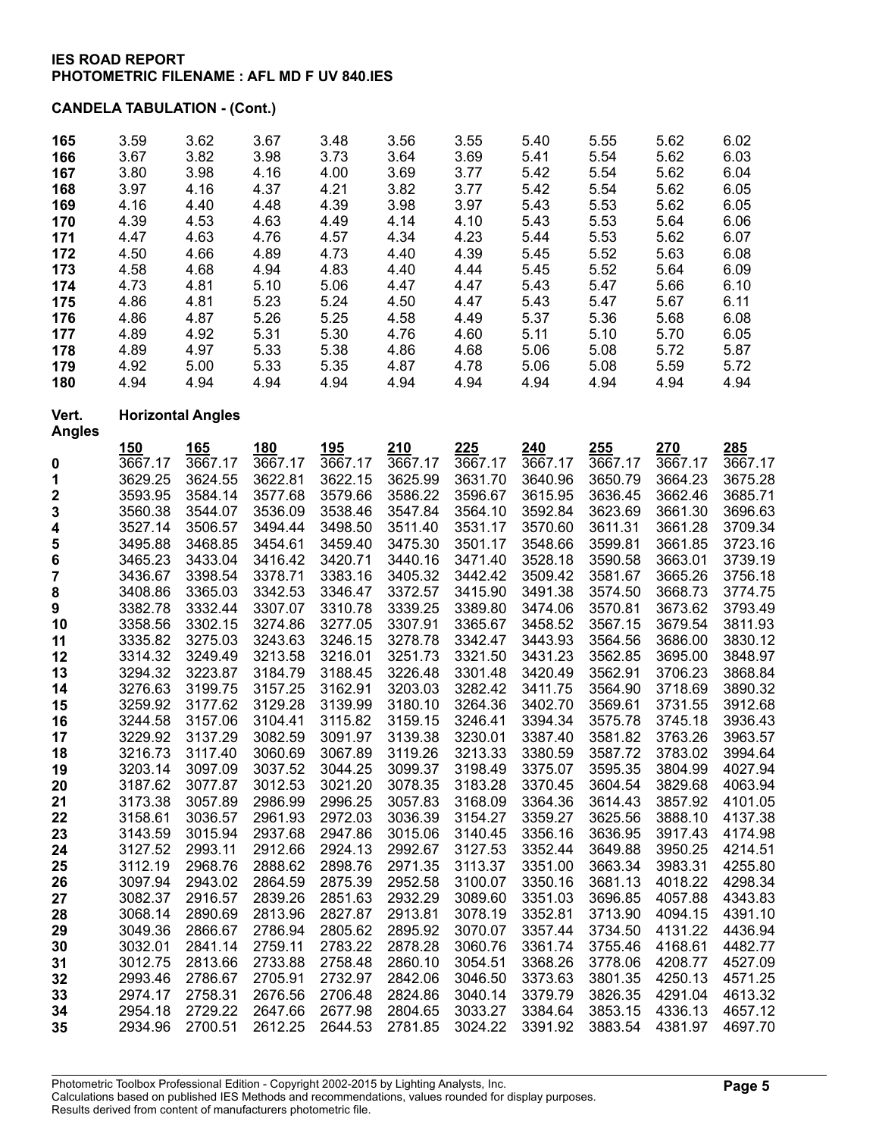| 165                    | 3.59    | 3.62                     | 3.67    | 3.48       | 3.56    | 3.55    | 5.40    | 5.55    | 5.62    | 6.02    |
|------------------------|---------|--------------------------|---------|------------|---------|---------|---------|---------|---------|---------|
| 166                    | 3.67    | 3.82                     | 3.98    | 3.73       | 3.64    | 3.69    | 5.41    | 5.54    | 5.62    | 6.03    |
| 167                    | 3.80    | 3.98                     | 4.16    | 4.00       | 3.69    | 3.77    | 5.42    | 5.54    | 5.62    | 6.04    |
| 168                    | 3.97    | 4.16                     | 4.37    | 4.21       | 3.82    | 3.77    | 5.42    | 5.54    | 5.62    | 6.05    |
| 169                    | 4.16    | 4.40                     | 4.48    | 4.39       | 3.98    | 3.97    | 5.43    | 5.53    | 5.62    | 6.05    |
| 170                    | 4.39    | 4.53                     | 4.63    | 4.49       | 4.14    | 4.10    | 5.43    | 5.53    | 5.64    | 6.06    |
| 171                    | 4.47    | 4.63                     | 4.76    | 4.57       | 4.34    | 4.23    | 5.44    | 5.53    | 5.62    | 6.07    |
| 172                    | 4.50    | 4.66                     | 4.89    | 4.73       | 4.40    | 4.39    | 5.45    | 5.52    | 5.63    | 6.08    |
| 173                    | 4.58    | 4.68                     | 4.94    | 4.83       | 4.40    | 4.44    | 5.45    | 5.52    | 5.64    | 6.09    |
| 174                    | 4.73    | 4.81                     | 5.10    | 5.06       | 4.47    | 4.47    | 5.43    | 5.47    | 5.66    | 6.10    |
| 175                    | 4.86    | 4.81                     | 5.23    | 5.24       | 4.50    | 4.47    | 5.43    | 5.47    | 5.67    | 6.11    |
| 176                    | 4.86    | 4.87                     | 5.26    | 5.25       | 4.58    | 4.49    | 5.37    | 5.36    | 5.68    | 6.08    |
| 177                    | 4.89    | 4.92                     | 5.31    | 5.30       | 4.76    | 4.60    | 5.11    | 5.10    | 5.70    | 6.05    |
| 178                    | 4.89    | 4.97                     | 5.33    | 5.38       | 4.86    | 4.68    | 5.06    | 5.08    | 5.72    | 5.87    |
| 179                    | 4.92    | 5.00                     | 5.33    | 5.35       | 4.87    | 4.78    | 5.06    | 5.08    | 5.59    | 5.72    |
| 180                    | 4.94    | 4.94                     | 4.94    | 4.94       | 4.94    | 4.94    | 4.94    | 4.94    | 4.94    | 4.94    |
| Vert.<br><b>Angles</b> |         | <b>Horizontal Angles</b> |         |            |         |         |         |         |         |         |
|                        | 150     | 165                      | 180     | <u>195</u> | 210     | 225     | 240     | 255     | 270     | 285     |
| 0                      | 3667.17 | 3667.17                  | 3667.17 | 3667.17    | 3667.17 | 3667.17 | 3667.17 | 3667.17 | 3667.17 | 3667.17 |
| 1                      | 3629.25 | 3624.55                  | 3622.81 | 3622.15    | 3625.99 | 3631.70 | 3640.96 | 3650.79 | 3664.23 | 3675.28 |
| 2                      | 3593.95 | 3584.14                  | 3577.68 | 3579.66    | 3586.22 | 3596.67 | 3615.95 | 3636.45 | 3662.46 | 3685.71 |
| 3                      | 3560.38 | 3544.07                  | 3536.09 | 3538.46    | 3547.84 | 3564.10 | 3592.84 | 3623.69 | 3661.30 | 3696.63 |
| 4                      | 3527.14 | 3506.57                  | 3494.44 | 3498.50    | 3511.40 | 3531.17 | 3570.60 | 3611.31 | 3661.28 | 3709.34 |
| 5                      | 3495.88 | 3468.85                  | 3454.61 | 3459.40    | 3475.30 | 3501.17 | 3548.66 | 3599.81 | 3661.85 | 3723.16 |
| 6                      | 3465.23 | 3433.04                  | 3416.42 | 3420.71    | 3440.16 | 3471.40 | 3528.18 | 3590.58 | 3663.01 | 3739.19 |
| 7                      | 3436.67 | 3398.54                  | 3378.71 | 3383.16    | 3405.32 | 3442.42 | 3509.42 | 3581.67 | 3665.26 | 3756.18 |
| 8                      | 3408.86 | 3365.03                  | 3342.53 | 3346.47    | 3372.57 | 3415.90 | 3491.38 | 3574.50 | 3668.73 | 3774.75 |
| 9                      | 3382.78 | 3332.44                  | 3307.07 | 3310.78    | 3339.25 | 3389.80 | 3474.06 | 3570.81 | 3673.62 | 3793.49 |
| 10                     | 3358.56 | 3302.15                  | 3274.86 | 3277.05    | 3307.91 | 3365.67 | 3458.52 | 3567.15 | 3679.54 | 3811.93 |
| 11                     | 3335.82 | 3275.03                  | 3243.63 | 3246.15    | 3278.78 | 3342.47 | 3443.93 | 3564.56 | 3686.00 | 3830.12 |
| 12                     | 3314.32 | 3249.49                  | 3213.58 | 3216.01    | 3251.73 | 3321.50 | 3431.23 | 3562.85 | 3695.00 | 3848.97 |
| 13                     | 3294.32 | 3223.87                  | 3184.79 | 3188.45    | 3226.48 | 3301.48 | 3420.49 | 3562.91 | 3706.23 | 3868.84 |
| 14                     | 3276.63 | 3199.75                  | 3157.25 | 3162.91    | 3203.03 | 3282.42 | 3411.75 | 3564.90 | 3718.69 | 3890.32 |
| 15                     | 3259.92 | 3177.62                  | 3129.28 | 3139.99    | 3180.10 | 3264.36 | 3402.70 | 3569.61 | 3731.55 | 3912.68 |
| 16                     | 3244.58 | 3157.06                  | 3104.41 | 3115.82    | 3159.15 | 3246.41 | 3394.34 | 3575.78 | 3745.18 | 3936.43 |
| 17                     | 3229.92 | 3137.29                  | 3082.59 | 3091.97    | 3139.38 | 3230.01 | 3387.40 | 3581.82 | 3763.26 | 3963.57 |
| 18                     | 3216.73 | 3117.40                  | 3060.69 | 3067.89    | 3119.26 | 3213.33 | 3380.59 | 3587.72 | 3783.02 | 3994.64 |
| 19                     | 3203.14 | 3097.09                  | 3037.52 | 3044.25    | 3099.37 | 3198.49 | 3375.07 | 3595.35 | 3804.99 | 4027.94 |
| 20                     | 3187.62 | 3077.87                  | 3012.53 | 3021.20    | 3078.35 | 3183.28 | 3370.45 | 3604.54 | 3829.68 | 4063.94 |
| 21                     | 3173.38 | 3057.89                  | 2986.99 | 2996.25    | 3057.83 | 3168.09 | 3364.36 | 3614.43 | 3857.92 | 4101.05 |
| 22                     | 3158.61 | 3036.57                  | 2961.93 | 2972.03    | 3036.39 | 3154.27 | 3359.27 | 3625.56 | 3888.10 | 4137.38 |
| 23                     | 3143.59 | 3015.94                  | 2937.68 | 2947.86    | 3015.06 | 3140.45 | 3356.16 | 3636.95 | 3917.43 | 4174.98 |
| 24                     | 3127.52 | 2993.11                  | 2912.66 | 2924.13    | 2992.67 | 3127.53 | 3352.44 | 3649.88 | 3950.25 | 4214.51 |
| 25                     | 3112.19 | 2968.76                  | 2888.62 | 2898.76    | 2971.35 | 3113.37 | 3351.00 | 3663.34 | 3983.31 | 4255.80 |
| 26                     | 3097.94 | 2943.02                  | 2864.59 | 2875.39    | 2952.58 | 3100.07 | 3350.16 | 3681.13 | 4018.22 | 4298.34 |
| 27                     | 3082.37 | 2916.57                  | 2839.26 | 2851.63    | 2932.29 | 3089.60 | 3351.03 | 3696.85 | 4057.88 | 4343.83 |
| 28                     | 3068.14 | 2890.69                  | 2813.96 | 2827.87    | 2913.81 | 3078.19 | 3352.81 | 3713.90 | 4094.15 | 4391.10 |
| 29                     | 3049.36 | 2866.67                  | 2786.94 | 2805.62    | 2895.92 | 3070.07 | 3357.44 | 3734.50 | 4131.22 | 4436.94 |
| 30                     | 3032.01 | 2841.14                  | 2759.11 | 2783.22    | 2878.28 | 3060.76 | 3361.74 | 3755.46 | 4168.61 | 4482.77 |
| 31                     | 3012.75 | 2813.66                  | 2733.88 | 2758.48    | 2860.10 | 3054.51 | 3368.26 | 3778.06 | 4208.77 | 4527.09 |
| 32                     | 2993.46 | 2786.67                  | 2705.91 | 2732.97    | 2842.06 | 3046.50 | 3373.63 | 3801.35 | 4250.13 | 4571.25 |
| 33                     | 2974.17 | 2758.31                  | 2676.56 | 2706.48    | 2824.86 | 3040.14 | 3379.79 | 3826.35 | 4291.04 | 4613.32 |
| 34                     | 2954.18 | 2729.22                  | 2647.66 | 2677.98    | 2804.65 | 3033.27 | 3384.64 | 3853.15 | 4336.13 | 4657.12 |
| 35                     | 2934.96 | 2700.51                  | 2612.25 | 2644.53    | 2781.85 | 3024.22 | 3391.92 | 3883.54 | 4381.97 | 4697.70 |
|                        |         |                          |         |            |         |         |         |         |         |         |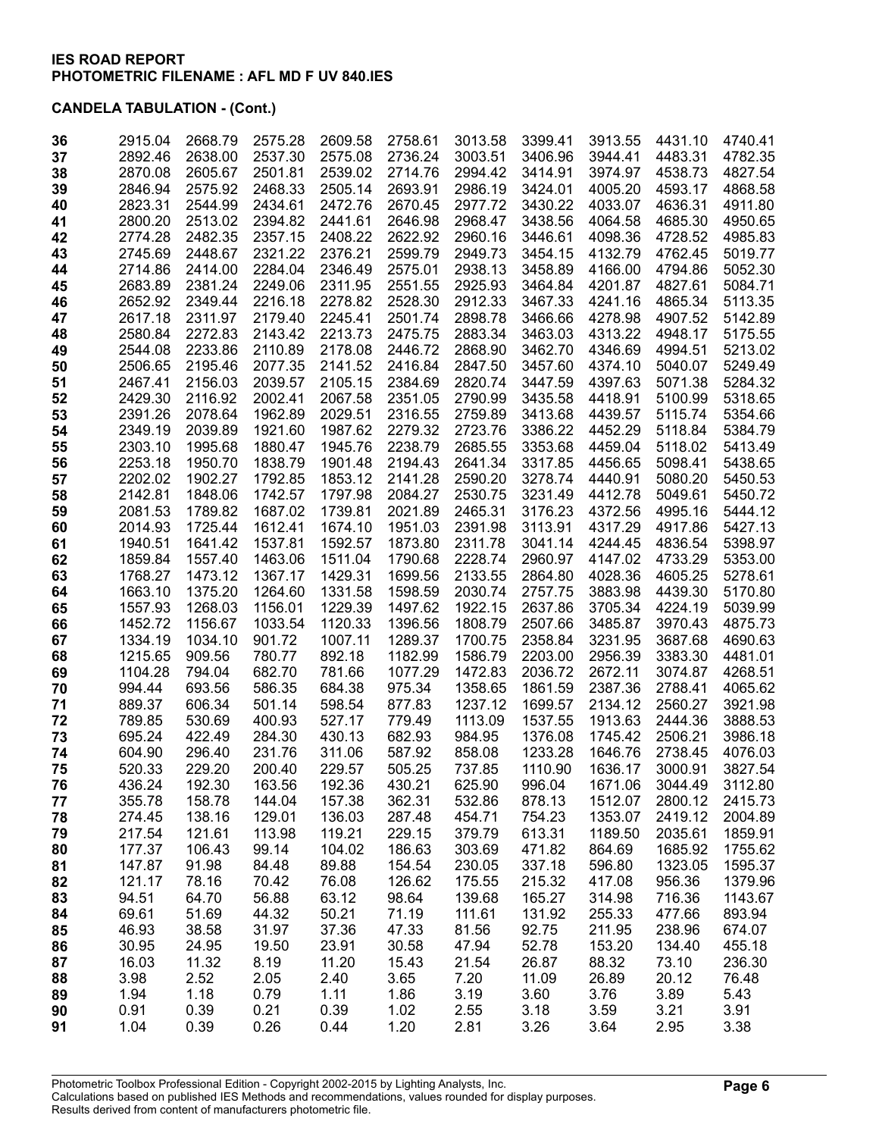| 36 | 2915.04 | 2668.79 | 2575.28 | 2609.58 | 2758.61 | 3013.58 | 3399.41 | 3913.55 | 4431.10 | 4740.41 |
|----|---------|---------|---------|---------|---------|---------|---------|---------|---------|---------|
| 37 | 2892.46 | 2638.00 | 2537.30 | 2575.08 | 2736.24 | 3003.51 | 3406.96 | 3944.41 | 4483.31 | 4782.35 |
| 38 | 2870.08 | 2605.67 | 2501.81 | 2539.02 | 2714.76 | 2994.42 | 3414.91 | 3974.97 | 4538.73 | 4827.54 |
| 39 | 2846.94 | 2575.92 | 2468.33 | 2505.14 | 2693.91 | 2986.19 | 3424.01 | 4005.20 | 4593.17 | 4868.58 |
| 40 | 2823.31 | 2544.99 | 2434.61 | 2472.76 | 2670.45 | 2977.72 | 3430.22 | 4033.07 | 4636.31 | 4911.80 |
| 41 | 2800.20 | 2513.02 | 2394.82 | 2441.61 | 2646.98 | 2968.47 | 3438.56 | 4064.58 | 4685.30 | 4950.65 |
| 42 | 2774.28 | 2482.35 | 2357.15 | 2408.22 | 2622.92 | 2960.16 | 3446.61 | 4098.36 | 4728.52 | 4985.83 |
| 43 | 2745.69 | 2448.67 | 2321.22 | 2376.21 | 2599.79 | 2949.73 | 3454.15 | 4132.79 | 4762.45 | 5019.77 |
| 44 | 2714.86 | 2414.00 | 2284.04 | 2346.49 | 2575.01 | 2938.13 | 3458.89 | 4166.00 | 4794.86 | 5052.30 |
| 45 | 2683.89 | 2381.24 | 2249.06 | 2311.95 | 2551.55 | 2925.93 | 3464.84 | 4201.87 | 4827.61 | 5084.71 |
| 46 | 2652.92 | 2349.44 | 2216.18 | 2278.82 | 2528.30 | 2912.33 | 3467.33 | 4241.16 | 4865.34 | 5113.35 |
| 47 | 2617.18 | 2311.97 | 2179.40 | 2245.41 | 2501.74 | 2898.78 | 3466.66 | 4278.98 | 4907.52 | 5142.89 |
| 48 | 2580.84 | 2272.83 | 2143.42 | 2213.73 | 2475.75 | 2883.34 | 3463.03 | 4313.22 | 4948.17 | 5175.55 |
| 49 | 2544.08 | 2233.86 | 2110.89 | 2178.08 | 2446.72 | 2868.90 | 3462.70 | 4346.69 | 4994.51 | 5213.02 |
| 50 | 2506.65 | 2195.46 | 2077.35 | 2141.52 | 2416.84 | 2847.50 | 3457.60 | 4374.10 | 5040.07 | 5249.49 |
| 51 | 2467.41 | 2156.03 | 2039.57 | 2105.15 | 2384.69 | 2820.74 | 3447.59 | 4397.63 | 5071.38 | 5284.32 |
| 52 | 2429.30 | 2116.92 | 2002.41 | 2067.58 | 2351.05 | 2790.99 | 3435.58 | 4418.91 | 5100.99 | 5318.65 |
| 53 | 2391.26 | 2078.64 | 1962.89 | 2029.51 | 2316.55 | 2759.89 | 3413.68 | 4439.57 | 5115.74 | 5354.66 |
| 54 | 2349.19 | 2039.89 | 1921.60 | 1987.62 | 2279.32 | 2723.76 | 3386.22 | 4452.29 | 5118.84 | 5384.79 |
| 55 | 2303.10 | 1995.68 | 1880.47 | 1945.76 | 2238.79 | 2685.55 | 3353.68 | 4459.04 | 5118.02 | 5413.49 |
| 56 | 2253.18 | 1950.70 | 1838.79 | 1901.48 | 2194.43 | 2641.34 | 3317.85 | 4456.65 | 5098.41 | 5438.65 |
| 57 | 2202.02 | 1902.27 | 1792.85 | 1853.12 | 2141.28 | 2590.20 | 3278.74 | 4440.91 | 5080.20 | 5450.53 |
| 58 | 2142.81 | 1848.06 | 1742.57 | 1797.98 | 2084.27 | 2530.75 | 3231.49 | 4412.78 | 5049.61 | 5450.72 |
| 59 | 2081.53 | 1789.82 | 1687.02 | 1739.81 | 2021.89 | 2465.31 | 3176.23 | 4372.56 | 4995.16 | 5444.12 |
| 60 | 2014.93 | 1725.44 | 1612.41 | 1674.10 | 1951.03 | 2391.98 | 3113.91 | 4317.29 | 4917.86 | 5427.13 |
| 61 | 1940.51 | 1641.42 | 1537.81 | 1592.57 | 1873.80 | 2311.78 | 3041.14 | 4244.45 | 4836.54 | 5398.97 |
| 62 | 1859.84 | 1557.40 | 1463.06 | 1511.04 | 1790.68 | 2228.74 | 2960.97 | 4147.02 | 4733.29 | 5353.00 |
| 63 | 1768.27 | 1473.12 | 1367.17 | 1429.31 | 1699.56 | 2133.55 | 2864.80 | 4028.36 | 4605.25 | 5278.61 |
| 64 | 1663.10 | 1375.20 | 1264.60 | 1331.58 | 1598.59 | 2030.74 | 2757.75 | 3883.98 | 4439.30 | 5170.80 |
| 65 | 1557.93 | 1268.03 | 1156.01 | 1229.39 | 1497.62 | 1922.15 | 2637.86 | 3705.34 | 4224.19 | 5039.99 |
| 66 | 1452.72 | 1156.67 | 1033.54 | 1120.33 | 1396.56 | 1808.79 | 2507.66 | 3485.87 | 3970.43 | 4875.73 |
| 67 | 1334.19 | 1034.10 | 901.72  | 1007.11 | 1289.37 | 1700.75 | 2358.84 | 3231.95 | 3687.68 | 4690.63 |
| 68 | 1215.65 | 909.56  | 780.77  | 892.18  | 1182.99 | 1586.79 | 2203.00 | 2956.39 | 3383.30 | 4481.01 |
| 69 | 1104.28 | 794.04  | 682.70  | 781.66  | 1077.29 | 1472.83 | 2036.72 | 2672.11 | 3074.87 | 4268.51 |
| 70 | 994.44  | 693.56  | 586.35  | 684.38  | 975.34  | 1358.65 | 1861.59 | 2387.36 | 2788.41 | 4065.62 |
| 71 | 889.37  | 606.34  | 501.14  | 598.54  | 877.83  | 1237.12 | 1699.57 | 2134.12 | 2560.27 | 3921.98 |
| 72 | 789.85  | 530.69  | 400.93  | 527.17  | 779.49  | 1113.09 | 1537.55 | 1913.63 | 2444.36 | 3888.53 |
| 73 | 695.24  | 422.49  | 284.30  | 430.13  | 682.93  | 984.95  | 1376.08 | 1745.42 | 2506.21 | 3986.18 |
| 74 | 604.90  | 296.40  | 231.76  | 311.06  | 587.92  | 858.08  | 1233.28 | 1646.76 | 2738.45 | 4076.03 |
| 75 | 520.33  | 229.20  | 200.40  | 229.57  | 505.25  | 737.85  | 1110.90 | 1636.17 | 3000.91 | 3827.54 |
| 76 | 436.24  | 192.30  | 163.56  | 192.36  | 430.21  | 625.90  | 996.04  | 1671.06 | 3044.49 | 3112.80 |
| 77 | 355.78  | 158.78  | 144.04  | 157.38  | 362.31  | 532.86  | 878.13  | 1512.07 | 2800.12 | 2415.73 |
| 78 | 274.45  | 138.16  | 129.01  | 136.03  | 287.48  | 454.71  | 754.23  | 1353.07 | 2419.12 | 2004.89 |
| 79 | 217.54  | 121.61  | 113.98  | 119.21  | 229.15  | 379.79  | 613.31  | 1189.50 | 2035.61 | 1859.91 |
| 80 | 177.37  | 106.43  | 99.14   | 104.02  | 186.63  | 303.69  | 471.82  | 864.69  | 1685.92 | 1755.62 |
| 81 | 147.87  | 91.98   | 84.48   | 89.88   | 154.54  | 230.05  | 337.18  | 596.80  | 1323.05 | 1595.37 |
| 82 | 121.17  | 78.16   | 70.42   | 76.08   | 126.62  | 175.55  | 215.32  | 417.08  | 956.36  | 1379.96 |
| 83 | 94.51   | 64.70   | 56.88   | 63.12   | 98.64   | 139.68  | 165.27  | 314.98  | 716.36  | 1143.67 |
| 84 | 69.61   | 51.69   | 44.32   | 50.21   | 71.19   | 111.61  | 131.92  | 255.33  | 477.66  | 893.94  |
| 85 | 46.93   | 38.58   | 31.97   | 37.36   | 47.33   | 81.56   | 92.75   | 211.95  | 238.96  | 674.07  |
| 86 | 30.95   | 24.95   | 19.50   | 23.91   | 30.58   | 47.94   | 52.78   | 153.20  | 134.40  | 455.18  |
| 87 | 16.03   | 11.32   | 8.19    | 11.20   | 15.43   | 21.54   | 26.87   | 88.32   | 73.10   | 236.30  |
| 88 | 3.98    | 2.52    | 2.05    | 2.40    | 3.65    | 7.20    | 11.09   | 26.89   | 20.12   | 76.48   |
| 89 | 1.94    | 1.18    | 0.79    | 1.11    | 1.86    | 3.19    | 3.60    | 3.76    | 3.89    | 5.43    |
| 90 | 0.91    | 0.39    | 0.21    | 0.39    | 1.02    | 2.55    | 3.18    | 3.59    | 3.21    | 3.91    |
| 91 | 1.04    | 0.39    | 0.26    | 0.44    | 1.20    | 2.81    | 3.26    | 3.64    | 2.95    | 3.38    |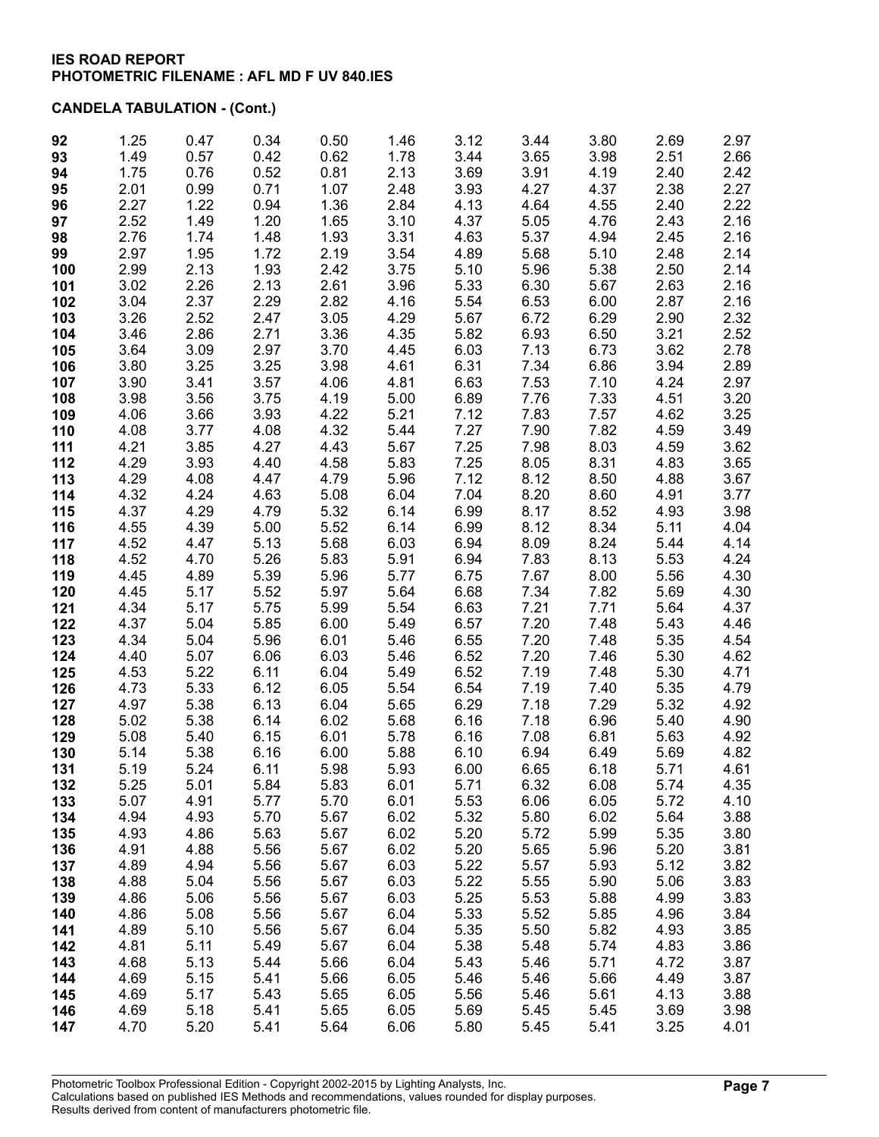| 92         | 1.25         | 0.47         | 0.34         | 0.50         | 1.46         | 3.12         | 3.44         | 3.80         | 2.69         | 2.97         |
|------------|--------------|--------------|--------------|--------------|--------------|--------------|--------------|--------------|--------------|--------------|
| 93         | 1.49         | 0.57         | 0.42         | 0.62         | 1.78         | 3.44         | 3.65         | 3.98         | 2.51         | 2.66         |
| 94         | 1.75         | 0.76         | 0.52         | 0.81         | 2.13         | 3.69         | 3.91         | 4.19         | 2.40         | 2.42         |
| 95         | 2.01         | 0.99         | 0.71         | 1.07         | 2.48         | 3.93         | 4.27         | 4.37         | 2.38         | 2.27         |
| 96         | 2.27         | 1.22         | 0.94         | 1.36         | 2.84         | 4.13         | 4.64         | 4.55         | 2.40         | 2.22         |
| 97         | 2.52         | 1.49         | 1.20         | 1.65         | 3.10         | 4.37         | 5.05         | 4.76         | 2.43         | 2.16         |
| 98         | 2.76         | 1.74         | 1.48         | 1.93         | 3.31         | 4.63         | 5.37         | 4.94         | 2.45         | 2.16         |
| 99         | 2.97<br>2.99 | 1.95<br>2.13 | 1.72<br>1.93 | 2.19<br>2.42 | 3.54<br>3.75 | 4.89<br>5.10 | 5.68<br>5.96 | 5.10<br>5.38 | 2.48<br>2.50 | 2.14<br>2.14 |
| 100        | 3.02         | 2.26         | 2.13         | 2.61         | 3.96         | 5.33         | 6.30         | 5.67         | 2.63         | 2.16         |
| 101<br>102 | 3.04         | 2.37         | 2.29         | 2.82         | 4.16         | 5.54         | 6.53         | 6.00         | 2.87         | 2.16         |
| 103        | 3.26         | 2.52         | 2.47         | 3.05         | 4.29         | 5.67         | 6.72         | 6.29         | 2.90         | 2.32         |
| 104        | 3.46         | 2.86         | 2.71         | 3.36         | 4.35         | 5.82         | 6.93         | 6.50         | 3.21         | 2.52         |
| 105        | 3.64         | 3.09         | 2.97         | 3.70         | 4.45         | 6.03         | 7.13         | 6.73         | 3.62         | 2.78         |
| 106        | 3.80         | 3.25         | 3.25         | 3.98         | 4.61         | 6.31         | 7.34         | 6.86         | 3.94         | 2.89         |
| 107        | 3.90         | 3.41         | 3.57         | 4.06         | 4.81         | 6.63         | 7.53         | 7.10         | 4.24         | 2.97         |
| 108        | 3.98         | 3.56         | 3.75         | 4.19         | 5.00         | 6.89         | 7.76         | 7.33         | 4.51         | 3.20         |
| 109        | 4.06         | 3.66         | 3.93         | 4.22         | 5.21         | 7.12         | 7.83         | 7.57         | 4.62         | 3.25         |
| 110        | 4.08         | 3.77         | 4.08         | 4.32         | 5.44         | 7.27         | 7.90         | 7.82         | 4.59         | 3.49         |
| 111        | 4.21         | 3.85         | 4.27         | 4.43         | 5.67         | 7.25         | 7.98         | 8.03         | 4.59         | 3.62         |
| 112        | 4.29         | 3.93         | 4.40         | 4.58         | 5.83         | 7.25         | 8.05         | 8.31         | 4.83         | 3.65         |
| 113        | 4.29         | 4.08         | 4.47         | 4.79         | 5.96         | 7.12         | 8.12         | 8.50         | 4.88         | 3.67         |
| 114        | 4.32         | 4.24         | 4.63         | 5.08         | 6.04         | 7.04         | 8.20         | 8.60         | 4.91         | 3.77         |
| 115        | 4.37         | 4.29         | 4.79         | 5.32         | 6.14         | 6.99         | 8.17         | 8.52         | 4.93         | 3.98         |
| 116        | 4.55         | 4.39         | 5.00         | 5.52         | 6.14         | 6.99         | 8.12         | 8.34         | 5.11         | 4.04         |
| 117        | 4.52<br>4.52 | 4.47<br>4.70 | 5.13<br>5.26 | 5.68<br>5.83 | 6.03<br>5.91 | 6.94<br>6.94 | 8.09<br>7.83 | 8.24<br>8.13 | 5.44<br>5.53 | 4.14<br>4.24 |
| 118<br>119 | 4.45         | 4.89         | 5.39         | 5.96         | 5.77         | 6.75         | 7.67         | 8.00         | 5.56         | 4.30         |
| 120        | 4.45         | 5.17         | 5.52         | 5.97         | 5.64         | 6.68         | 7.34         | 7.82         | 5.69         | 4.30         |
| 121        | 4.34         | 5.17         | 5.75         | 5.99         | 5.54         | 6.63         | 7.21         | 7.71         | 5.64         | 4.37         |
| 122        | 4.37         | 5.04         | 5.85         | 6.00         | 5.49         | 6.57         | 7.20         | 7.48         | 5.43         | 4.46         |
| 123        | 4.34         | 5.04         | 5.96         | 6.01         | 5.46         | 6.55         | 7.20         | 7.48         | 5.35         | 4.54         |
| 124        | 4.40         | 5.07         | 6.06         | 6.03         | 5.46         | 6.52         | 7.20         | 7.46         | 5.30         | 4.62         |
| 125        | 4.53         | 5.22         | 6.11         | 6.04         | 5.49         | 6.52         | 7.19         | 7.48         | 5.30         | 4.71         |
| 126        | 4.73         | 5.33         | 6.12         | 6.05         | 5.54         | 6.54         | 7.19         | 7.40         | 5.35         | 4.79         |
| 127        | 4.97         | 5.38         | 6.13         | 6.04         | 5.65         | 6.29         | 7.18         | 7.29         | 5.32         | 4.92         |
| 128        | 5.02         | 5.38         | 6.14         | 6.02         | 5.68         | 6.16         | 7.18         | 6.96         | 5.40         | 4.90         |
| 129        | 5.08         | 5.40         | 6.15         | 6.01         | 5.78         | 6.16         | 7.08         | 6.81         | 5.63         | 4.92         |
| 130        | 5.14         | 5.38         | 6.16         | 6.00         | 5.88         | 6.10         | 6.94         | 6.49         | 5.69         | 4.82         |
| 131        | 5.19         | 5.24         | 6.11         | 5.98         | 5.93         | 6.00         | 6.65         | 6.18         | 5.71         | 4.61         |
| 132<br>133 | 5.25<br>5.07 | 5.01<br>4.91 | 5.84<br>5.77 | 5.83<br>5.70 | 6.01<br>6.01 | 5.71<br>5.53 | 6.32<br>6.06 | 6.08<br>6.05 | 5.74<br>5.72 | 4.35<br>4.10 |
| 134        | 4.94         | 4.93         | 5.70         | 5.67         | 6.02         | 5.32         | 5.80         | 6.02         | 5.64         | 3.88         |
| 135        | 4.93         | 4.86         | 5.63         | 5.67         | 6.02         | 5.20         | 5.72         | 5.99         | 5.35         | 3.80         |
| 136        | 4.91         | 4.88         | 5.56         | 5.67         | 6.02         | 5.20         | 5.65         | 5.96         | 5.20         | 3.81         |
| 137        | 4.89         | 4.94         | 5.56         | 5.67         | 6.03         | 5.22         | 5.57         | 5.93         | 5.12         | 3.82         |
| 138        | 4.88         | 5.04         | 5.56         | 5.67         | 6.03         | 5.22         | 5.55         | 5.90         | 5.06         | 3.83         |
| 139        | 4.86         | 5.06         | 5.56         | 5.67         | 6.03         | 5.25         | 5.53         | 5.88         | 4.99         | 3.83         |
| 140        | 4.86         | 5.08         | 5.56         | 5.67         | 6.04         | 5.33         | 5.52         | 5.85         | 4.96         | 3.84         |
| 141        | 4.89         | 5.10         | 5.56         | 5.67         | 6.04         | 5.35         | 5.50         | 5.82         | 4.93         | 3.85         |
| 142        | 4.81         | 5.11         | 5.49         | 5.67         | 6.04         | 5.38         | 5.48         | 5.74         | 4.83         | 3.86         |
| 143        | 4.68         | 5.13         | 5.44         | 5.66         | 6.04         | 5.43         | 5.46         | 5.71         | 4.72         | 3.87         |
| 144        | 4.69         | 5.15         | 5.41         | 5.66         | 6.05         | 5.46         | 5.46         | 5.66         | 4.49         | 3.87         |
| 145        | 4.69         | 5.17         | 5.43         | 5.65         | 6.05         | 5.56         | 5.46         | 5.61         | 4.13         | 3.88         |
| 146        | 4.69         | 5.18         | 5.41         | 5.65         | 6.05         | 5.69         | 5.45         | 5.45         | 3.69         | 3.98         |
| 147        | 4.70         | 5.20         | 5.41         | 5.64         | 6.06         | 5.80         | 5.45         | 5.41         | 3.25         | 4.01         |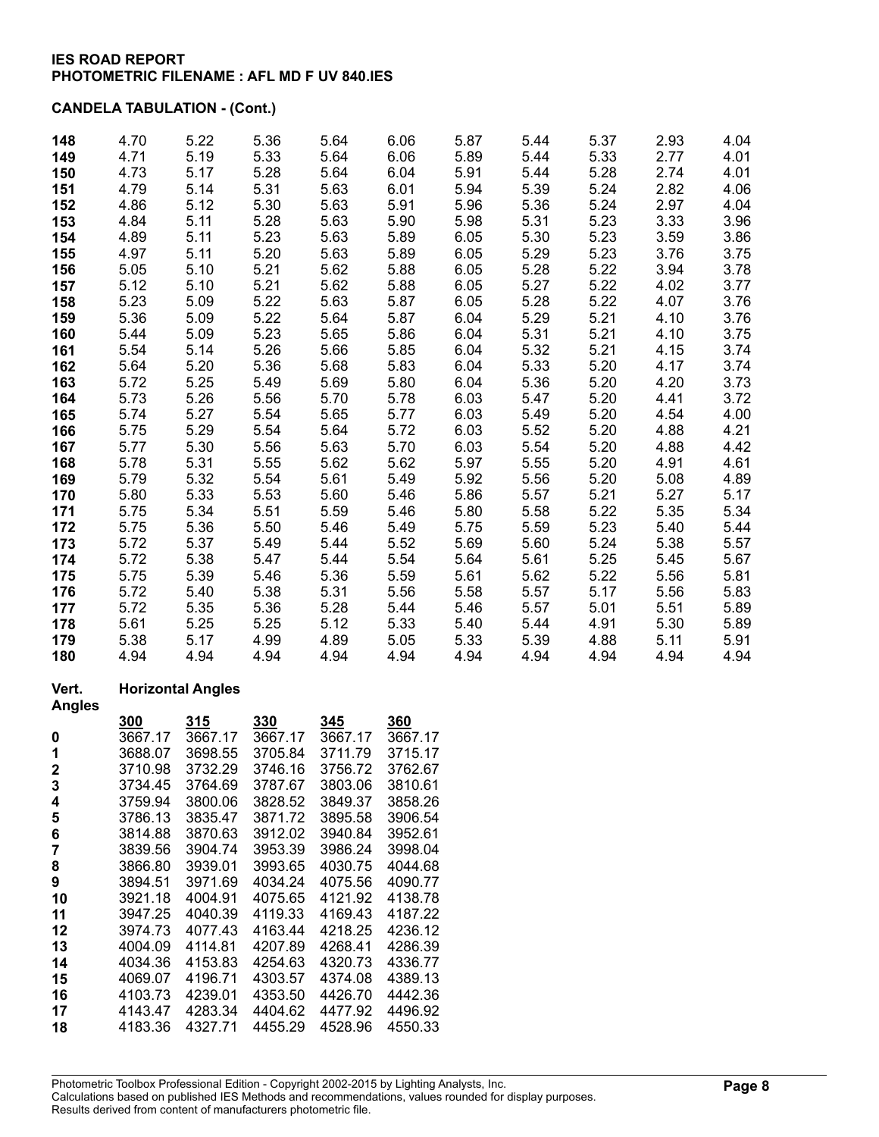## **CANDELA TABULATION - (Cont.)**

| 148 | 4.70 | 5.22 | 5.36 | 5.64 | 6.06 | 5.87 | 5.44 | 5.37 | 2.93 | 4.04 |
|-----|------|------|------|------|------|------|------|------|------|------|
| 149 | 4.71 | 5.19 | 5.33 | 5.64 | 6.06 | 5.89 | 5.44 | 5.33 | 2.77 | 4.01 |
| 150 | 4.73 | 5.17 | 5.28 | 5.64 | 6.04 | 5.91 | 5.44 | 5.28 | 2.74 | 4.01 |
| 151 | 4.79 | 5.14 | 5.31 | 5.63 | 6.01 | 5.94 | 5.39 | 5.24 | 2.82 | 4.06 |
| 152 | 4.86 | 5.12 | 5.30 | 5.63 | 5.91 | 5.96 | 5.36 | 5.24 | 2.97 | 4.04 |
| 153 | 4.84 | 5.11 | 5.28 | 5.63 | 5.90 | 5.98 | 5.31 | 5.23 | 3.33 | 3.96 |
| 154 | 4.89 | 5.11 | 5.23 | 5.63 | 5.89 | 6.05 | 5.30 | 5.23 | 3.59 | 3.86 |
| 155 | 4.97 | 5.11 | 5.20 | 5.63 | 5.89 | 6.05 | 5.29 | 5.23 | 3.76 | 3.75 |
| 156 | 5.05 | 5.10 | 5.21 | 5.62 | 5.88 | 6.05 | 5.28 | 5.22 | 3.94 | 3.78 |
| 157 | 5.12 | 5.10 | 5.21 | 5.62 | 5.88 | 6.05 | 5.27 | 5.22 | 4.02 | 3.77 |
| 158 | 5.23 | 5.09 | 5.22 | 5.63 | 5.87 | 6.05 | 5.28 | 5.22 | 4.07 | 3.76 |
| 159 | 5.36 | 5.09 | 5.22 | 5.64 | 5.87 | 6.04 | 5.29 | 5.21 | 4.10 | 3.76 |
| 160 | 5.44 | 5.09 | 5.23 | 5.65 | 5.86 | 6.04 | 5.31 | 5.21 | 4.10 | 3.75 |
| 161 | 5.54 | 5.14 | 5.26 | 5.66 | 5.85 | 6.04 | 5.32 | 5.21 | 4.15 | 3.74 |
| 162 | 5.64 | 5.20 | 5.36 | 5.68 | 5.83 | 6.04 | 5.33 | 5.20 | 4.17 | 3.74 |
| 163 | 5.72 | 5.25 | 5.49 | 5.69 | 5.80 | 6.04 | 5.36 | 5.20 | 4.20 | 3.73 |
| 164 | 5.73 | 5.26 | 5.56 | 5.70 | 5.78 | 6.03 | 5.47 | 5.20 | 4.41 | 3.72 |
| 165 | 5.74 | 5.27 | 5.54 | 5.65 | 5.77 | 6.03 | 5.49 | 5.20 | 4.54 | 4.00 |
| 166 | 5.75 | 5.29 | 5.54 | 5.64 | 5.72 | 6.03 | 5.52 | 5.20 | 4.88 | 4.21 |
| 167 | 5.77 | 5.30 | 5.56 | 5.63 | 5.70 | 6.03 | 5.54 | 5.20 | 4.88 | 4.42 |
| 168 | 5.78 | 5.31 | 5.55 | 5.62 | 5.62 | 5.97 | 5.55 | 5.20 | 4.91 | 4.61 |
| 169 | 5.79 | 5.32 | 5.54 | 5.61 | 5.49 | 5.92 | 5.56 | 5.20 | 5.08 | 4.89 |
| 170 | 5.80 | 5.33 | 5.53 | 5.60 | 5.46 | 5.86 | 5.57 | 5.21 | 5.27 | 5.17 |
| 171 | 5.75 | 5.34 | 5.51 | 5.59 | 5.46 | 5.80 | 5.58 | 5.22 | 5.35 | 5.34 |
| 172 | 5.75 | 5.36 | 5.50 | 5.46 | 5.49 | 5.75 | 5.59 | 5.23 | 5.40 | 5.44 |
| 173 | 5.72 | 5.37 | 5.49 | 5.44 | 5.52 | 5.69 | 5.60 | 5.24 | 5.38 | 5.57 |
| 174 | 5.72 | 5.38 | 5.47 | 5.44 | 5.54 | 5.64 | 5.61 | 5.25 | 5.45 | 5.67 |
| 175 | 5.75 | 5.39 | 5.46 | 5.36 | 5.59 | 5.61 | 5.62 | 5.22 | 5.56 | 5.81 |
| 176 | 5.72 | 5.40 | 5.38 | 5.31 | 5.56 | 5.58 | 5.57 | 5.17 | 5.56 | 5.83 |
| 177 | 5.72 | 5.35 | 5.36 | 5.28 | 5.44 | 5.46 | 5.57 | 5.01 | 5.51 | 5.89 |
| 178 | 5.61 | 5.25 | 5.25 | 5.12 | 5.33 | 5.40 | 5.44 | 4.91 | 5.30 | 5.89 |
| 179 | 5.38 | 5.17 | 4.99 | 4.89 | 5.05 | 5.33 | 5.39 | 4.88 | 5.11 | 5.91 |
| 180 | 4.94 | 4.94 | 4.94 | 4.94 | 4.94 | 4.94 | 4.94 | 4.94 | 4.94 | 4.94 |

### **Vert. Horizontal Angles**

**Angles 300 315 330 345 360** 3667.17 3667.17 3667.17 3667.17 3667.17 3688.07 3698.55 3705.84 3711.79 3715.17

| 2  | 3710.98 | 3732.29 | 3746.16 | 3756.72 | 3762.67 |
|----|---------|---------|---------|---------|---------|
| 3  | 3734.45 | 3764.69 | 3787.67 | 3803.06 | 3810.61 |
| 4  | 3759.94 | 3800.06 | 3828.52 | 3849.37 | 3858.26 |
| 5  | 3786.13 | 3835.47 | 3871.72 | 3895.58 | 3906.54 |
| 6  | 3814.88 | 3870.63 | 3912.02 | 3940.84 | 3952.61 |
| 7  | 3839.56 | 3904.74 | 3953.39 | 3986.24 | 3998.04 |
| 8  | 3866.80 | 3939.01 | 3993.65 | 4030.75 | 4044.68 |
| 9  | 3894.51 | 3971.69 | 4034.24 | 4075.56 | 4090.77 |
| 10 | 3921.18 | 4004.91 | 4075.65 | 4121.92 | 4138.78 |
| 11 | 3947.25 | 4040.39 | 4119.33 | 4169.43 | 4187.22 |
| 12 | 3974.73 | 4077.43 | 4163.44 | 4218.25 | 4236.12 |
| 13 | 4004.09 | 4114.81 | 4207.89 | 4268.41 | 4286.39 |
| 14 | 4034.36 | 4153.83 | 4254.63 | 4320.73 | 4336.77 |
| 15 | 4069.07 | 4196.71 | 4303.57 | 4374.08 | 4389.13 |
| 16 | 4103.73 | 4239.01 | 4353.50 | 4426.70 | 4442.36 |
| 17 | 4143.47 | 4283.34 | 4404.62 | 4477.92 | 4496.92 |
| 18 | 4183.36 | 4327.71 | 4455.29 | 4528.96 | 4550.33 |
|    |         |         |         |         |         |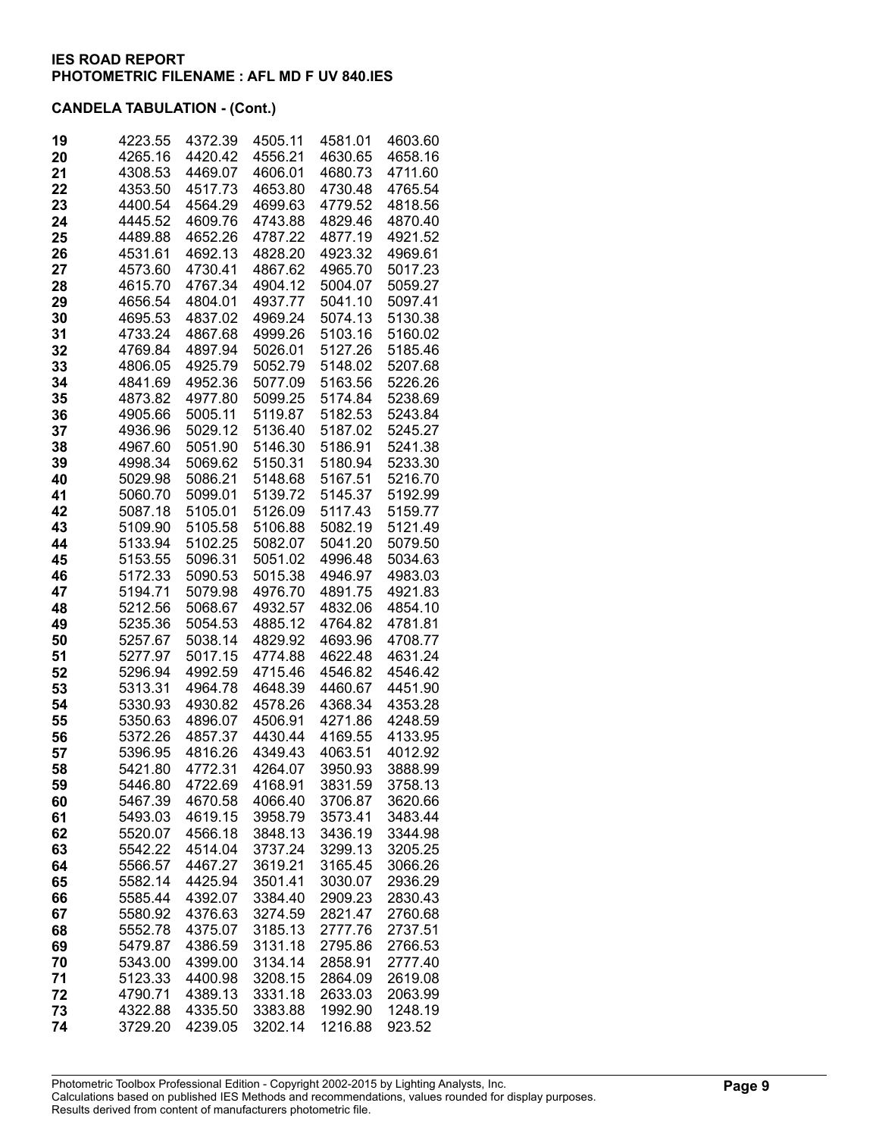| 19 | 4223.55 | 4372.39 | 4505.11 | 4581.01 | 4603.60 |
|----|---------|---------|---------|---------|---------|
| 20 | 4265.16 | 4420.42 | 4556.21 | 4630.65 | 4658.16 |
| 21 | 4308.53 | 4469.07 | 4606.01 | 4680.73 | 4711.60 |
| 22 | 4353.50 | 4517.73 | 4653.80 | 4730.48 | 4765.54 |
| 23 | 4400.54 |         |         |         |         |
|    |         | 4564.29 | 4699.63 | 4779.52 | 4818.56 |
| 24 | 4445.52 | 4609.76 | 4743.88 | 4829.46 | 4870.40 |
| 25 | 4489.88 | 4652.26 | 4787.22 | 4877.19 | 4921.52 |
| 26 | 4531.61 | 4692.13 | 4828.20 | 4923.32 | 4969.61 |
| 27 | 4573.60 | 4730.41 | 4867.62 | 4965.70 | 5017.23 |
| 28 | 4615.70 | 4767.34 | 4904.12 | 5004.07 | 5059.27 |
| 29 | 4656.54 | 4804.01 | 4937.77 | 5041.10 | 5097.41 |
| 30 | 4695.53 | 4837.02 | 4969.24 | 5074.13 | 5130.38 |
| 31 | 4733.24 | 4867.68 | 4999.26 | 5103.16 | 5160.02 |
| 32 | 4769.84 | 4897.94 | 5026.01 | 5127.26 | 5185.46 |
| 33 | 4806.05 | 4925.79 | 5052.79 | 5148.02 | 5207.68 |
| 34 | 4841.69 | 4952.36 | 5077.09 | 5163.56 | 5226.26 |
| 35 | 4873.82 | 4977.80 | 5099.25 | 5174.84 | 5238.69 |
| 36 | 4905.66 | 5005.11 | 5119.87 | 5182.53 | 5243.84 |
| 37 | 4936.96 | 5029.12 | 5136.40 | 5187.02 | 5245.27 |
| 38 | 4967.60 | 5051.90 | 5146.30 | 5186.91 | 5241.38 |
| 39 | 4998.34 | 5069.62 | 5150.31 | 5180.94 | 5233.30 |
| 40 | 5029.98 | 5086.21 | 5148.68 | 5167.51 | 5216.70 |
| 41 | 5060.70 | 5099.01 | 5139.72 | 5145.37 | 5192.99 |
| 42 | 5087.18 | 5105.01 | 5126.09 | 5117.43 | 5159.77 |
| 43 | 5109.90 | 5105.58 | 5106.88 | 5082.19 | 5121.49 |
| 44 | 5133.94 | 5102.25 | 5082.07 | 5041.20 | 5079.50 |
| 45 | 5153.55 | 5096.31 | 5051.02 | 4996.48 | 5034.63 |
| 46 | 5172.33 | 5090.53 | 5015.38 | 4946.97 | 4983.03 |
| 47 | 5194.71 | 5079.98 | 4976.70 | 4891.75 | 4921.83 |
| 48 | 5212.56 | 5068.67 | 4932.57 | 4832.06 | 4854.10 |
| 49 | 5235.36 | 5054.53 | 4885.12 | 4764.82 | 4781.81 |
| 50 | 5257.67 | 5038.14 | 4829.92 | 4693.96 | 4708.77 |
| 51 | 5277.97 | 5017.15 | 4774.88 | 4622.48 | 4631.24 |
| 52 | 5296.94 | 4992.59 | 4715.46 | 4546.82 | 4546.42 |
| 53 | 5313.31 | 4964.78 | 4648.39 | 4460.67 | 4451.90 |
| 54 | 5330.93 | 4930.82 | 4578.26 | 4368.34 | 4353.28 |
| 55 | 5350.63 | 4896.07 | 4506.91 | 4271.86 | 4248.59 |
| 56 | 5372.26 | 4857.37 | 4430.44 | 4169.55 | 4133.95 |
| 57 | 5396.95 | 4816.26 | 4349.43 | 4063.51 | 4012.92 |
| 58 | 5421.80 | 4772.31 | 4264.07 | 3950.93 | 3888.99 |
| 59 | 5446.80 | 4722.69 | 4168.91 | 3831.59 | 3758.13 |
| 60 | 5467.39 | 4670.58 | 4066.40 | 3706.87 | 3620.66 |
| 61 | 5493.03 | 4619.15 | 3958.79 | 3573.41 | 3483.44 |
| 62 | 5520.07 | 4566.18 | 3848.13 | 3436.19 | 3344.98 |
| 63 | 5542.22 | 4514.04 | 3737.24 | 3299.13 | 3205.25 |
| 64 | 5566.57 | 4467.27 | 3619.21 | 3165.45 | 3066.26 |
| 65 | 5582.14 | 4425.94 | 3501.41 | 3030.07 | 2936.29 |
| 66 | 5585.44 | 4392.07 | 3384.40 | 2909.23 | 2830.43 |
| 67 | 5580.92 | 4376.63 | 3274.59 | 2821.47 | 2760.68 |
| 68 | 5552.78 | 4375.07 | 3185.13 | 2777.76 | 2737.51 |
| 69 | 5479.87 | 4386.59 | 3131.18 | 2795.86 | 2766.53 |
| 70 | 5343.00 | 4399.00 | 3134.14 | 2858.91 | 2777.40 |
| 71 | 5123.33 | 4400.98 | 3208.15 | 2864.09 | 2619.08 |
| 72 | 4790.71 | 4389.13 | 3331.18 | 2633.03 | 2063.99 |
| 73 | 4322.88 | 4335.50 | 3383.88 | 1992.90 | 1248.19 |
| 74 |         |         |         | 1216.88 |         |
|    | 3729.20 | 4239.05 | 3202.14 |         | 923.52  |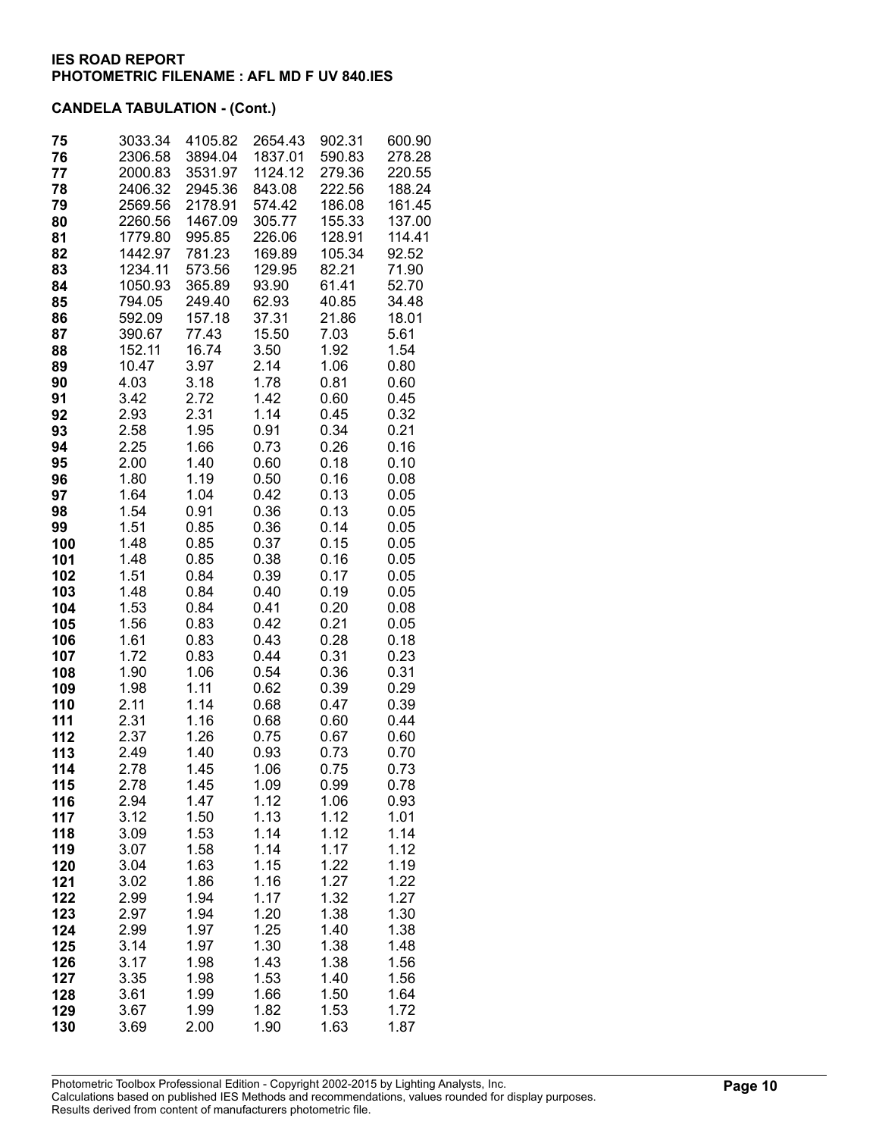| 75         | 3033.34            | 4105.82<br>3894.04 | 2654.43<br>1837.01 | 902.31<br>590.83 | 600.90<br>278.28 |
|------------|--------------------|--------------------|--------------------|------------------|------------------|
| 76<br>77   | 2306.58<br>2000.83 | 3531.97            | 1124.12            | 279.36           | 220.55           |
| 78         | 2406.32            | 2945.36            | 843.08             | 222.56           | 188.24           |
| 79         | 2569.56            | 2178.91            | 574.42             | 186.08           | 161.45           |
| 80         | 2260.56            | 1467.09            | 305.77             | 155.33           | 137.00           |
| 81         | 1779.80            | 995.85             | 226.06             | 128.91           | 114.41           |
| 82         | 1442.97            | 781.23             | 169.89             | 105.34           | 92.52            |
| 83         | 1234.11            | 573.56             | 129.95             | 82.21            | 71.90            |
| 84         | 1050.93            | 365.89             | 93.90              | 61.41            | 52.70            |
| 85         | 794.05             | 249.40             | 62.93              | 40.85            | 34.48            |
| 86         | 592.09             | 157.18             | 37.31              | 21.86            | 18.01            |
| 87         | 390.67             | 77.43              | 15.50              | 7.03             | 5.61             |
| 88         | 152.11             | 16.74              | 3.50               | 1.92             | 1.54             |
| 89         | 10.47              | 3.97               | 2.14               | 1.06             | 0.80             |
| 90<br>91   | 4.03<br>3.42       | 3.18               | 1.78<br>1.42       | 0.81<br>0.60     | 0.60             |
| 92         | 2.93               | 2.72<br>2.31       | 1.14               | 0.45             | 0.45<br>0.32     |
| 93         | 2.58               | 1.95               | 0.91               | 0.34             | 0.21             |
| 94         | 2.25               | 1.66               | 0.73               | 0.26             | 0.16             |
| 95         | 2.00               | 1.40               | 0.60               | 0.18             | 0.10             |
| 96         | 1.80               | 1.19               | 0.50               | 0.16             | 0.08             |
| 97         | 1.64               | 1.04               | 0.42               | 0.13             | 0.05             |
| 98         | 1.54               | 0.91               | 0.36               | 0.13             | 0.05             |
| 99         | 1.51               | 0.85               | 0.36               | 0.14             | 0.05             |
| 100        | 1.48               | 0.85               | 0.37               | 0.15             | 0.05             |
| 101        | 1.48               | 0.85               | 0.38               | 0.16             | 0.05             |
| 102        | 1.51               | 0.84               | 0.39               | 0.17             | 0.05             |
| 103        | 1.48               | 0.84               | 0.40               | 0.19             | 0.05             |
| 104        | 1.53               | 0.84               | 0.41               | 0.20             | 0.08             |
| 105        | 1.56               | 0.83               | 0.42               | 0.21             | 0.05             |
| 106<br>107 | 1.61<br>1.72       | 0.83<br>0.83       | 0.43<br>0.44       | 0.28<br>0.31     | 0.18<br>0.23     |
| 108        | 1.90               | 1.06               | 0.54               | 0.36             | 0.31             |
| 109        | 1.98               | 1.11               | 0.62               | 0.39             | 0.29             |
| 110        | 2.11               | 1.14               | 0.68               | 0.47             | 0.39             |
| 111        | 2.31               | 1.16               | 0.68               | 0.60             | 0.44             |
| 112        | 2.37               | 1.26               | 0.75               | 0.67             | 0.60             |
| 113        | 2.49               | 1.40               | 0.93               | 0.73             | 0.70             |
| 114        | 2.78               | 1.45               | 1.06               | 0.75             | 0.73             |
| 115        | 2.78               | 1.45               | 1.09               | 0.99             | 0.78             |
| 116        | 2.94               | 1.47               | 1.12               | 1.06             | 0.93             |
| 117        | 3.12               | 1.50               | 1.13               | 1.12             | 1.01<br>1.14     |
| 118<br>119 | 3.09<br>3.07       | 1.53<br>1.58       | 1.14<br>1.14       | 1.12<br>1.17     | 1.12             |
| 120        | 3.04               | 1.63               | 1.15               | 1.22             | 1.19             |
| 121        | 3.02               | 1.86               | 1.16               | 1.27             | 1.22             |
| 122        | 2.99               | 1.94               | 1.17               | 1.32             | 1.27             |
| 123        | 2.97               | 1.94               | 1.20               | 1.38             | 1.30             |
| 124        | 2.99               | 1.97               | 1.25               | 1.40             | 1.38             |
| 125        | 3.14               | 1.97               | 1.30               | 1.38             | 1.48             |
| 126        | 3.17               | 1.98               | 1.43               | 1.38             | 1.56             |
| 127        | 3.35               | 1.98               | 1.53               | 1.40             | 1.56             |
| 128        | 3.61               | 1.99               | 1.66               | 1.50             | 1.64             |
| 129        | 3.67               | 1.99               | 1.82               | 1.53             | 1.72             |
| 130        | 3.69               | 2.00               | 1.90               | 1.63             | 1.87             |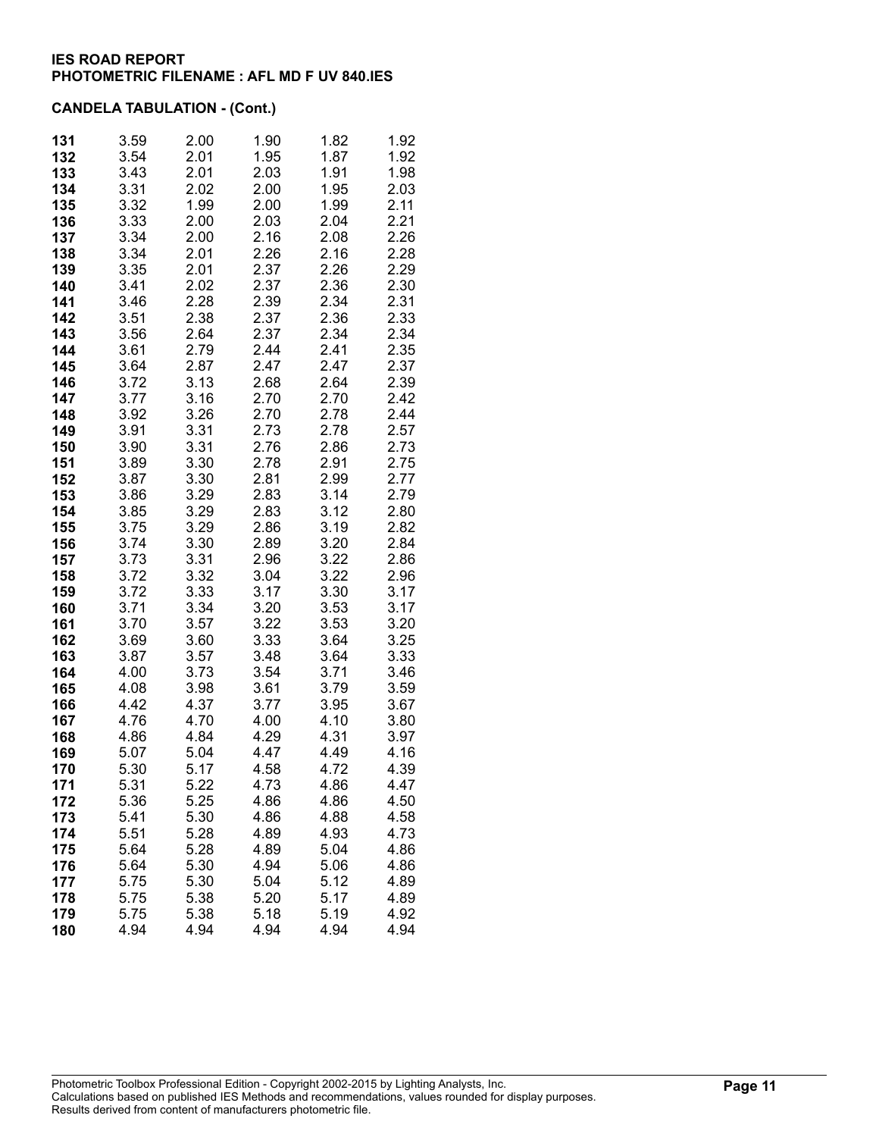| 131        | 3.59         | 2.00         | 1.90         | 1.82         | 1.92         |
|------------|--------------|--------------|--------------|--------------|--------------|
| 132        | 3.54         | 2.01         | 1.95         | 1.87         | 1.92         |
| 133        | 3.43         | 2.01         | 2.03         | 1.91         | 1.98         |
| 134        | 3.31         | 2.02         | 2.00         | 1.95         | 2.03         |
| 135        | 3.32         | 1.99         | 2.00         | 1.99         | 2.11         |
| 136        | 3.33         | 2.00         | 2.03         | 2.04         | 2.21         |
| 137        | 3.34         | 2.00         | 2.16         | 2.08         | 2.26         |
| 138        | 3.34         | 2.01         | 2.26         | 2.16         | 2.28         |
| 139        | 3.35         | 2.01         | 2.37         | 2.26         | 2.29         |
| 140        | 3.41         | 2.02         | 2.37         | 2.36         | 2.30         |
| 141        | 3.46         | 2.28         | 2.39         | 2.34         | 2.31         |
| 142        | 3.51         | 2.38         | 2.37         | 2.36         | 2.33         |
| 143        | 3.56         | 2.64         | 2.37         | 2.34         | 2.34         |
| 144        | 3.61         | 2.79         | 2.44         | 2.41         | 2.35         |
| 145        | 3.64         | 2.87         | 2.47         | 2.47         | 2.37         |
| 146        | 3.72         | 3.13         | 2.68         | 2.64         | 2.39         |
| 147        | 3.77         | 3.16         | 2.70         | 2.70         | 2.42         |
| 148        | 3.92         | 3.26         | 2.70         | 2.78         | 2.44         |
| 149        | 3.91         | 3.31         | 2.73         | 2.78         | 2.57         |
| 150        | 3.90         | 3.31         | 2.76         | 2.86         | 2.73         |
| 151        | 3.89         | 3.30         | 2.78         | 2.91         | 2.75         |
| 152        | 3.87<br>3.86 | 3.30<br>3.29 | 2.81<br>2.83 | 2.99<br>3.14 | 2.77<br>2.79 |
| 153<br>154 | 3.85         | 3.29         | 2.83         | 3.12         | 2.80         |
| 155        | 3.75         | 3.29         | 2.86         | 3.19         | 2.82         |
| 156        | 3.74         | 3.30         | 2.89         | 3.20         | 2.84         |
| 157        | 3.73         | 3.31         | 2.96         | 3.22         | 2.86         |
| 158        | 3.72         | 3.32         | 3.04         | 3.22         | 2.96         |
| 159        | 3.72         | 3.33         | 3.17         | 3.30         | 3.17         |
| 160        | 3.71         | 3.34         | 3.20         | 3.53         | 3.17         |
| 161        | 3.70         | 3.57         | 3.22         | 3.53         | 3.20         |
| 162        | 3.69         | 3.60         | 3.33         | 3.64         | 3.25         |
| 163        | 3.87         | 3.57         | 3.48         | 3.64         | 3.33         |
| 164        | 4.00         | 3.73         | 3.54         | 3.71         | 3.46         |
| 165        | 4.08         | 3.98         | 3.61         | 3.79         | 3.59         |
| 166        | 4.42         | 4.37         | 3.77         | 3.95         | 3.67         |
| 167        | 4.76         | 4.70         | 4.00         | 4.10         | 3.80         |
| 168        | 4.86         | 4.84         | 4.29         | 4.31         | 3.97         |
| 169        | 5.07         | 5.04         | 4.47         | 4.49         | 4.16         |
| 170        | 5.30         | 5.17         | 4.58         | 4.72         | 4.39         |
| 171        | 5.31         | 5.22         | 4.73         | 4.86         | 4.47         |
| 172        | 5.36         | 5.25         | 4.86         | 4.86         | 4.50         |
| 173        | 5.41         | 5.30         | 4.86         | 4.88         | 4.58         |
| 174        | 5.51         | 5.28         | 4.89         | 4.93         | 4.73         |
| 175<br>176 | 5.64<br>5.64 | 5.28<br>5.30 | 4.89<br>4.94 | 5.04<br>5.06 | 4.86<br>4.86 |
| 177        | 5.75         | 5.30         | 5.04         | 5.12         | 4.89         |
| 178        | 5.75         | 5.38         | 5.20         | 5.17         | 4.89         |
| 179        | 5.75         | 5.38         | 5.18         | 5.19         | 4.92         |
| 180        | 4.94         | 4.94         | 4.94         | 4.94         | 4.94         |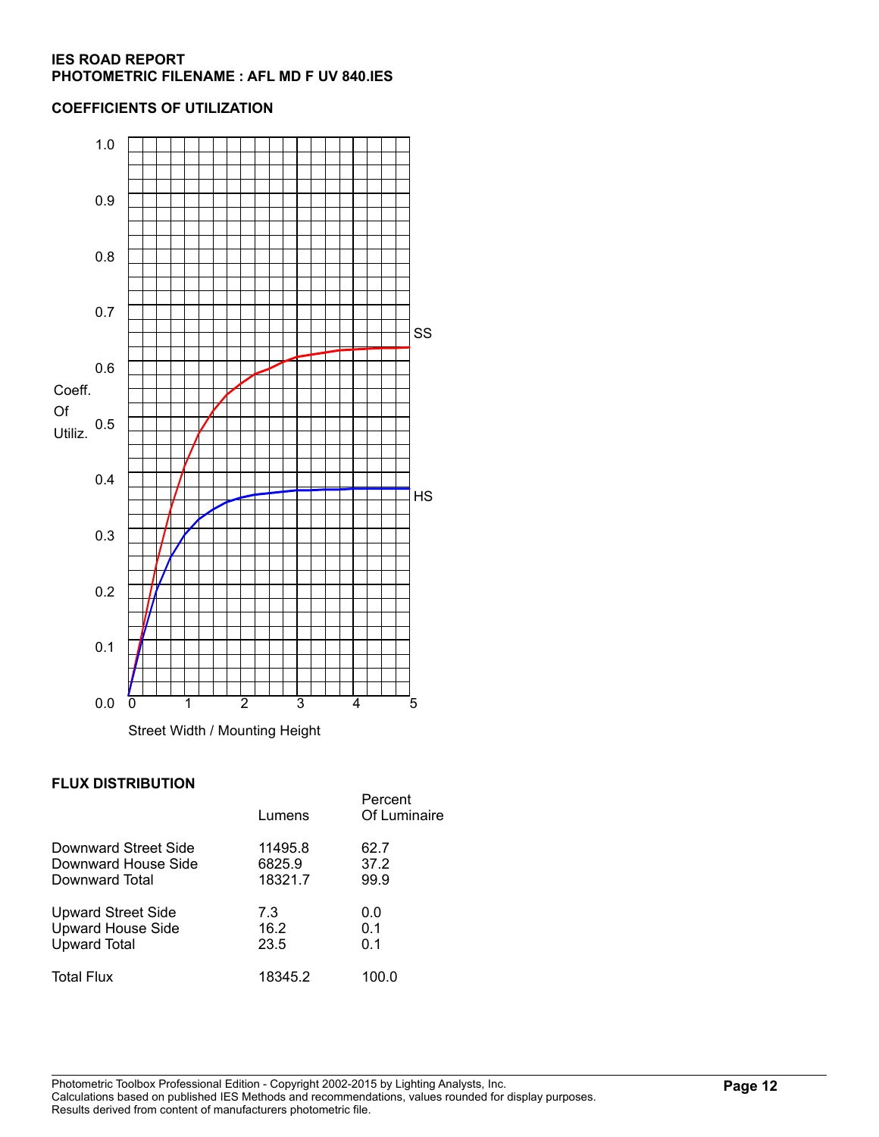## **COEFFICIENTS OF UTILIZATION**



## **FLUX DISTRIBUTION**

|                           | Lumens  | Percent<br>Of Luminaire |
|---------------------------|---------|-------------------------|
| Downward Street Side      | 11495.8 | 62.7                    |
| Downward House Side       | 6825.9  | 37.2                    |
| Downward Total            | 18321.7 | 99.9                    |
| <b>Upward Street Side</b> | 7.3     | 0.0                     |
| <b>Upward House Side</b>  | 16.2    | 0.1                     |
| <b>Upward Total</b>       | 23.5    | 0.1                     |
| <b>Total Flux</b>         | 18345.2 | 100.0                   |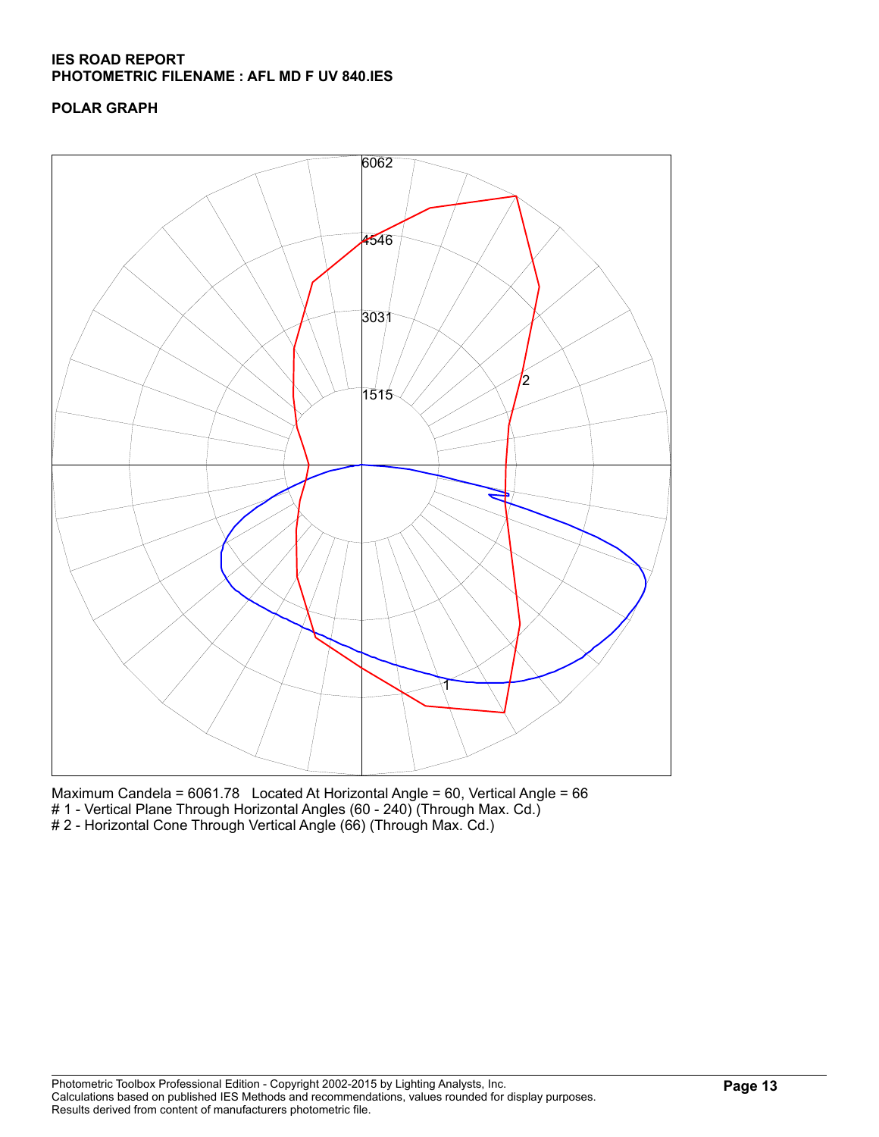# **POLAR GRAPH**



Maximum Candela = 6061.78 Located At Horizontal Angle = 60, Vertical Angle = 66 # 1 - Vertical Plane Through Horizontal Angles (60 - 240) (Through Max. Cd.) # 2 - Horizontal Cone Through Vertical Angle (66) (Through Max. Cd.)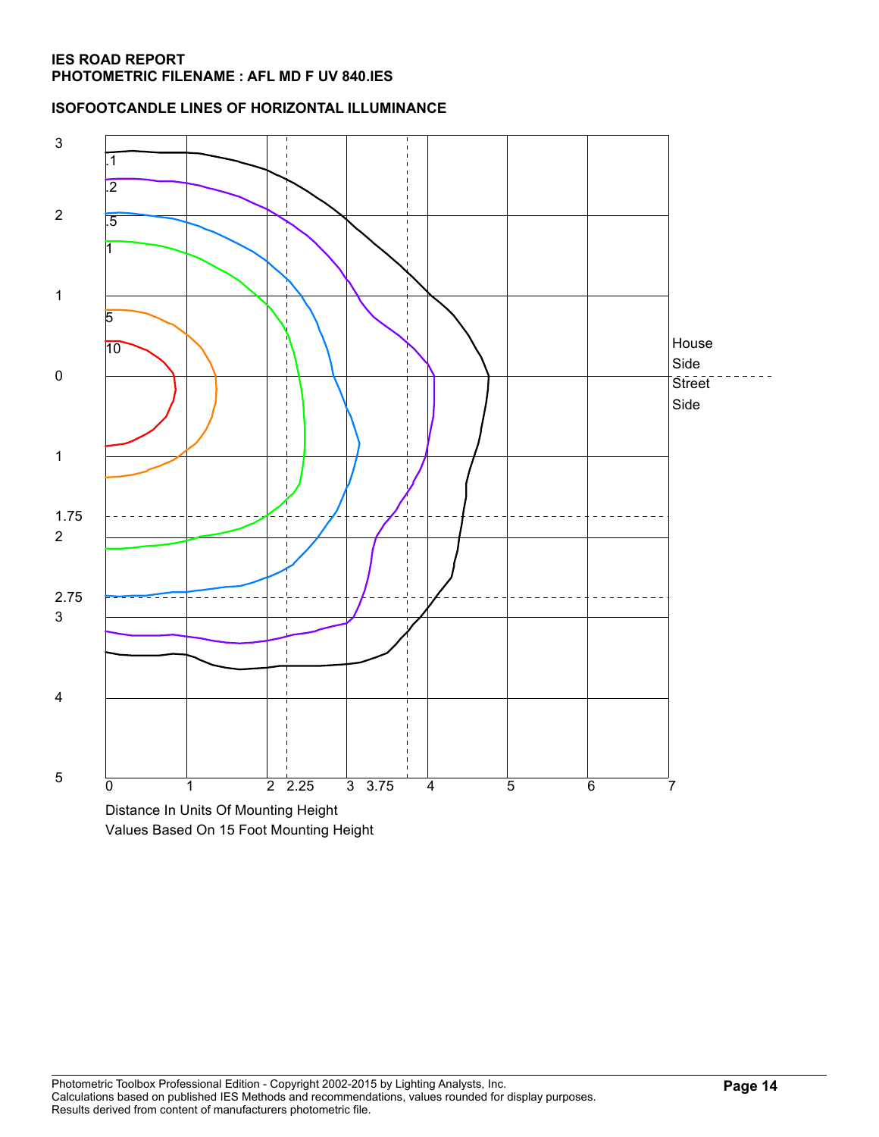**ISOFOOTCANDLE LINES OF HORIZONTAL ILLUMINANCE**



Values Based On 15 Foot Mounting Height